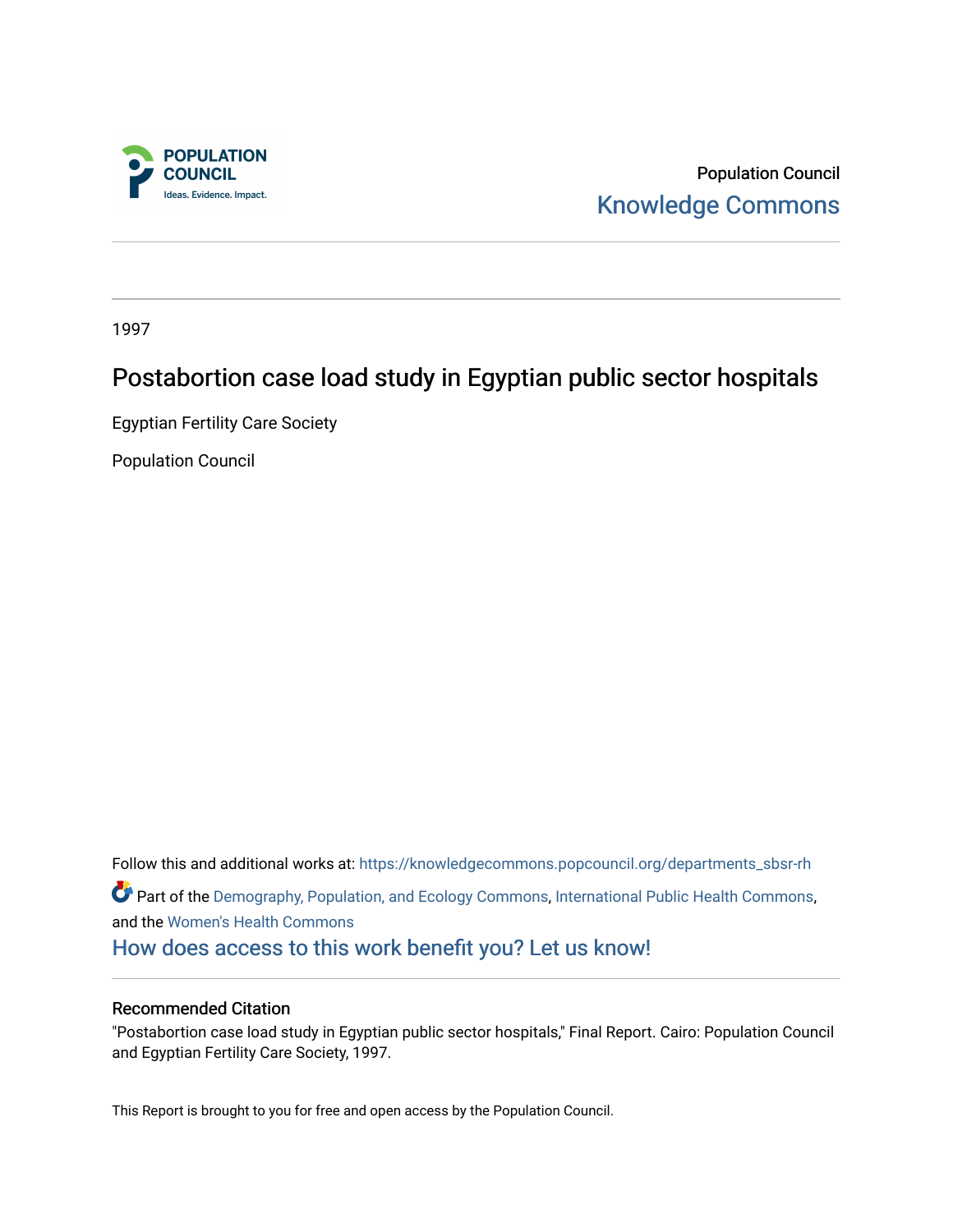

Population Council [Knowledge Commons](https://knowledgecommons.popcouncil.org/) 

1997

## Postabortion case load study in Egyptian public sector hospitals

Egyptian Fertility Care Society

Population Council

Follow this and additional works at: [https://knowledgecommons.popcouncil.org/departments\\_sbsr-rh](https://knowledgecommons.popcouncil.org/departments_sbsr-rh?utm_source=knowledgecommons.popcouncil.org%2Fdepartments_sbsr-rh%2F2034&utm_medium=PDF&utm_campaign=PDFCoverPages)  Part of the [Demography, Population, and Ecology Commons,](https://network.bepress.com/hgg/discipline/418?utm_source=knowledgecommons.popcouncil.org%2Fdepartments_sbsr-rh%2F2034&utm_medium=PDF&utm_campaign=PDFCoverPages) [International Public Health Commons](https://network.bepress.com/hgg/discipline/746?utm_source=knowledgecommons.popcouncil.org%2Fdepartments_sbsr-rh%2F2034&utm_medium=PDF&utm_campaign=PDFCoverPages), and the [Women's Health Commons](https://network.bepress.com/hgg/discipline/1241?utm_source=knowledgecommons.popcouncil.org%2Fdepartments_sbsr-rh%2F2034&utm_medium=PDF&utm_campaign=PDFCoverPages)  [How does access to this work benefit you? Let us know!](https://pcouncil.wufoo.com/forms/open-access-to-population-council-research/)

#### Recommended Citation

"Postabortion case load study in Egyptian public sector hospitals," Final Report. Cairo: Population Council and Egyptian Fertility Care Society, 1997.

This Report is brought to you for free and open access by the Population Council.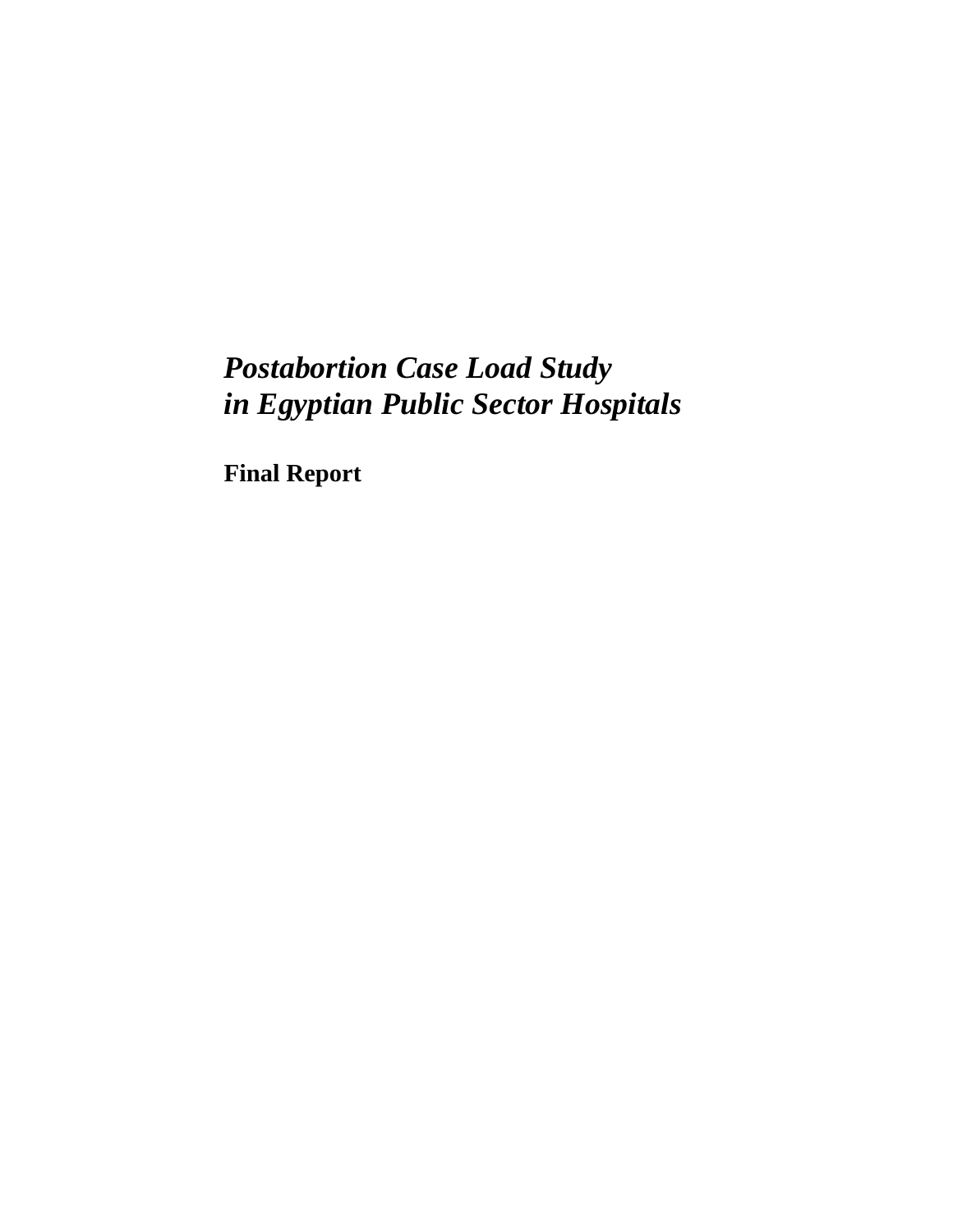**Final Report**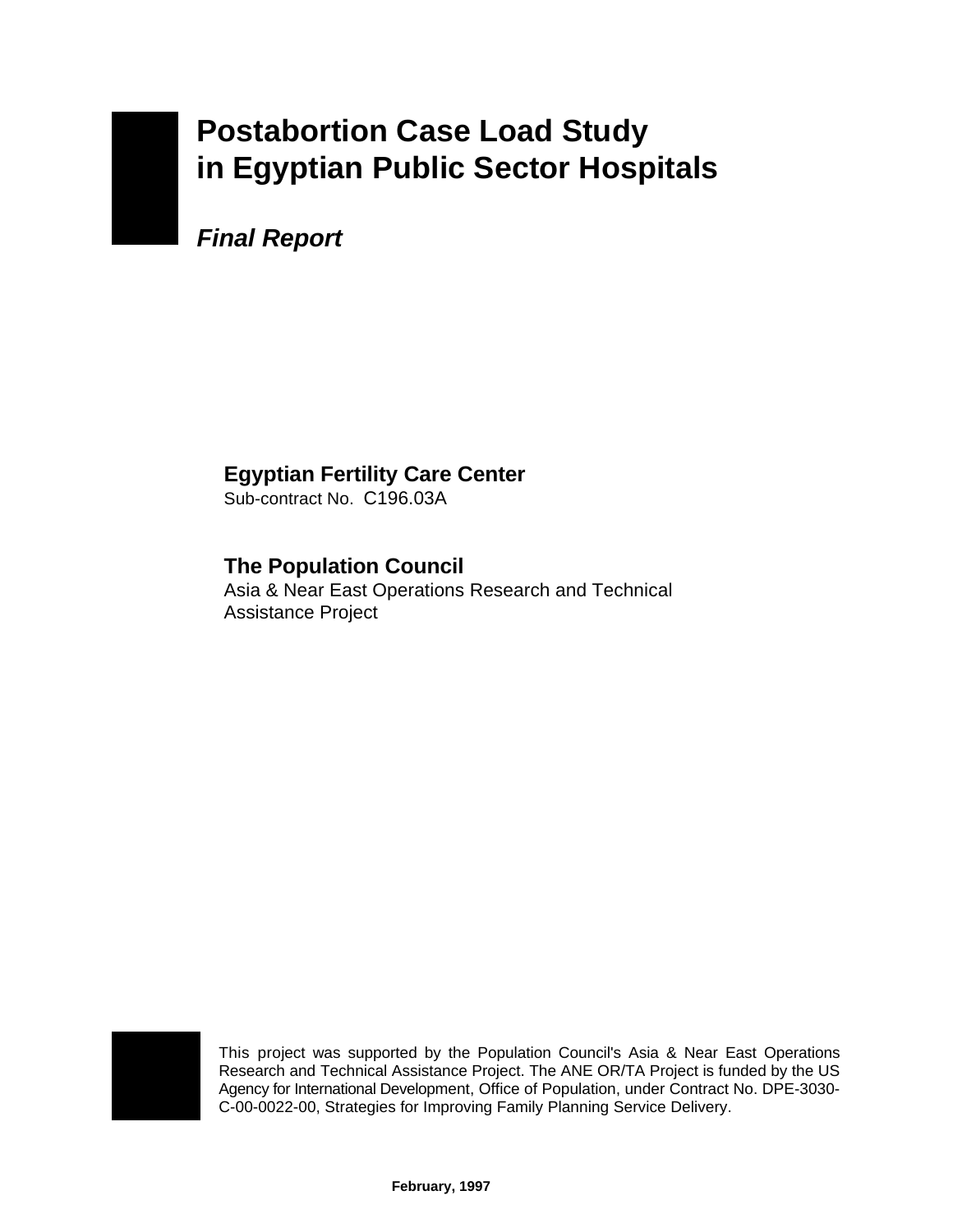*Final Report*

## **Egyptian Fertility Care Center**

Sub-contract No. C196.03A

## **The Population Council**

Asia & Near East Operations Research and Technical Assistance Project



This project was supported by the Population Council's Asia & Near East Operations Research and Technical Assistance Project. The ANE OR/TA Project is funded by the US Agency for International Development, Office of Population, under Contract No. DPE-3030- C-00-0022-00, Strategies for Improving Family Planning Service Delivery.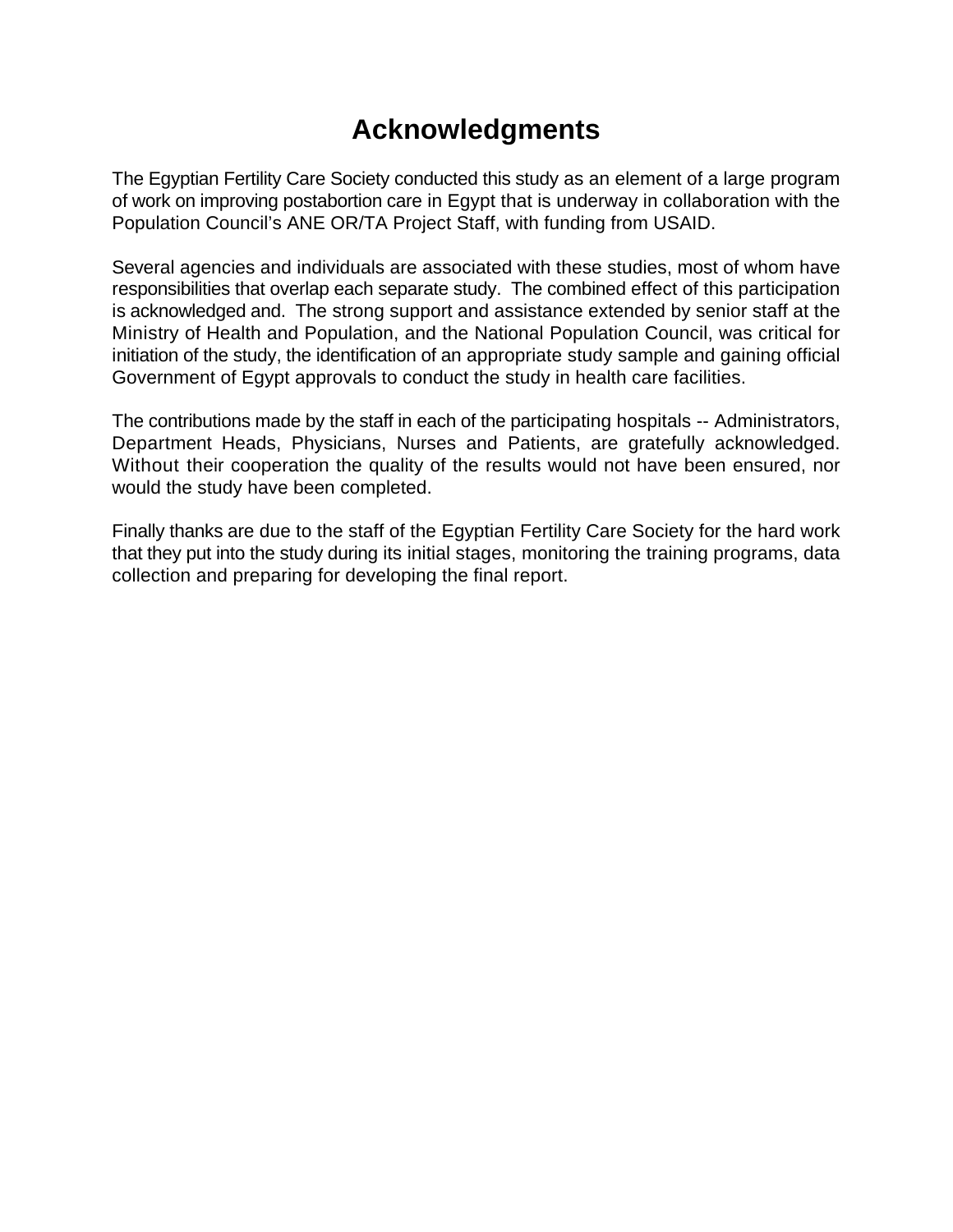# **Acknowledgments**

The Egyptian Fertility Care Society conducted this study as an element of a large program of work on improving postabortion care in Egypt that is underway in collaboration with the Population Council's ANE OR/TA Project Staff, with funding from USAID.

Several agencies and individuals are associated with these studies, most of whom have responsibilities that overlap each separate study. The combined effect of this participation is acknowledged and. The strong support and assistance extended by senior staff at the Ministry of Health and Population, and the National Population Council, was critical for initiation of the study, the identification of an appropriate study sample and gaining official Government of Egypt approvals to conduct the study in health care facilities.

The contributions made by the staff in each of the participating hospitals -- Administrators, Department Heads, Physicians, Nurses and Patients, are gratefully acknowledged. Without their cooperation the quality of the results would not have been ensured, nor would the study have been completed.

Finally thanks are due to the staff of the Egyptian Fertility Care Society for the hard work that they put into the study during its initial stages, monitoring the training programs, data collection and preparing for developing the final report.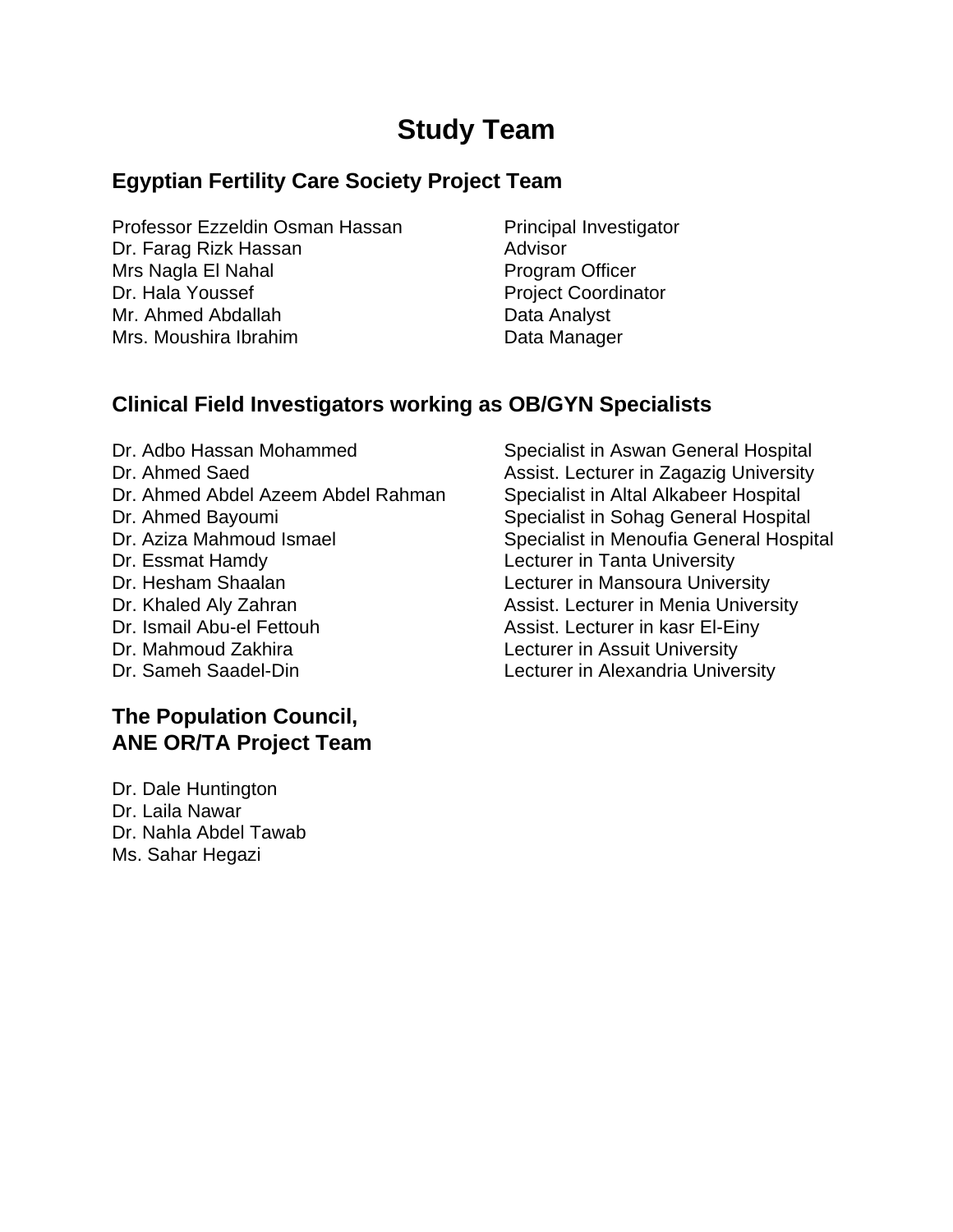# **Study Team**

## **Egyptian Fertility Care Society Project Team**

Professor Ezzeldin Osman Hassan Principal Investigator Dr. Farag Rizk Hassan Advisor Mrs Nagla El Nahal Program Officer Dr. Hala Youssef **Project Coordinator** Project Coordinator Mr. Ahmed Abdallah Data Analyst Mrs. Moushira Ibrahim **Data Manager** Data Manager

## **Clinical Field Investigators working as OB/GYN Specialists**

Dr. Adbo Hassan Mohammed Specialist in Aswan General Hospital Dr. Ahmed Saed Assist. Lecturer in Zagazig University Dr. Ahmed Abdel Azeem Abdel Rahman Specialist in Altal Alkabeer Hospital Dr. Ahmed Bayoumi Specialist in Sohag General Hospital Dr. Aziza Mahmoud Ismael Specialist in Menoufia General Hospital Dr. Essmat Hamdy Lecturer in Tanta University Dr. Hesham Shaalan **Lecturer** in Mansoura University Dr. Khaled Aly Zahran **Assist.** Lecturer in Menia University Dr. Ismail Abu-el Fettouh Assist. Lecturer in kasr El-Einy Dr. Mahmoud Zakhira **Lecturer** in Assuit University Dr. Sameh Saadel-Din **Lecturer** in Alexandria University

## **The Population Council, ANE OR/TA Project Team**

Dr. Dale Huntington Dr. Laila Nawar Dr. Nahla Abdel Tawab Ms. Sahar Hegazi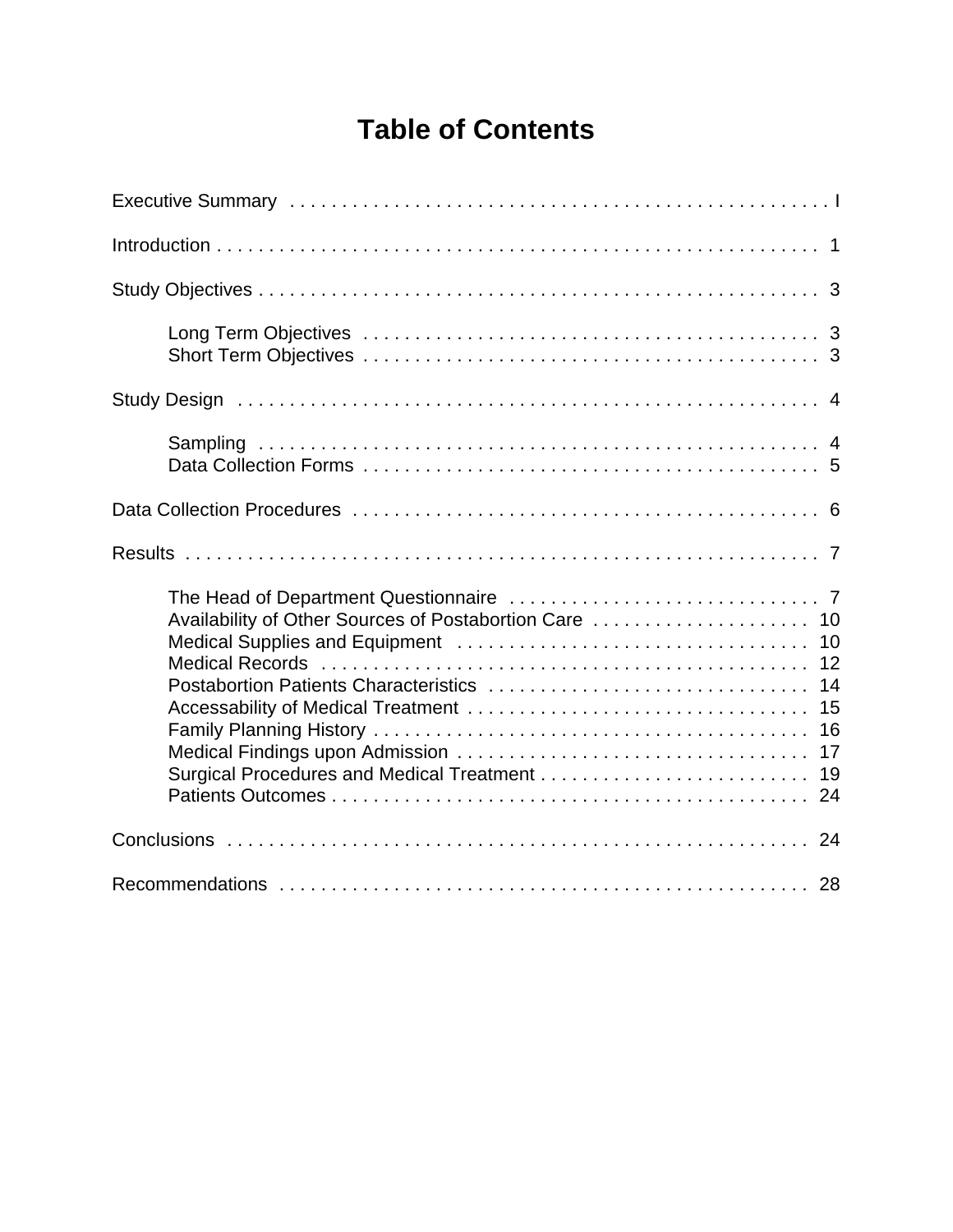# **Table of Contents**

| Availability of Other Sources of Postabortion Care  10<br>14<br>15<br>16<br>17<br>19 |  |
|--------------------------------------------------------------------------------------|--|
| 24                                                                                   |  |
|                                                                                      |  |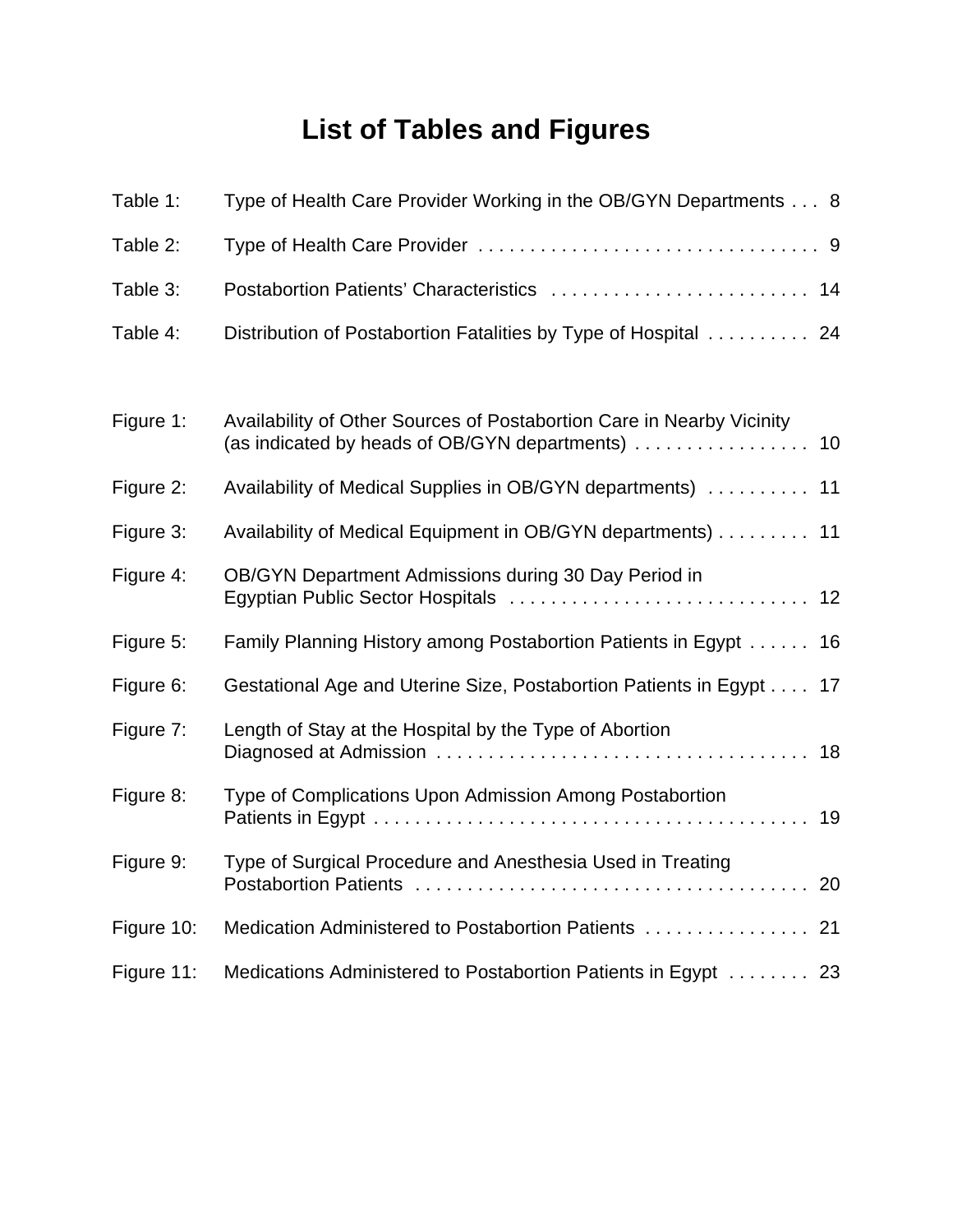# **List of Tables and Figures**

| Table 1:   | Type of Health Care Provider Working in the OB/GYN Departments 8                               |
|------------|------------------------------------------------------------------------------------------------|
| Table 2:   |                                                                                                |
| Table 3:   |                                                                                                |
| Table 4:   | Distribution of Postabortion Fatalities by Type of Hospital  24                                |
|            |                                                                                                |
| Figure 1:  | Availability of Other Sources of Postabortion Care in Nearby Vicinity                          |
| Figure 2:  | Availability of Medical Supplies in OB/GYN departments)  11                                    |
| Figure 3:  | Availability of Medical Equipment in OB/GYN departments) 11                                    |
| Figure 4:  | OB/GYN Department Admissions during 30 Day Period in<br>Egyptian Public Sector Hospitals<br>12 |
| Figure 5:  | Family Planning History among Postabortion Patients in Egypt 16                                |
| Figure 6:  | Gestational Age and Uterine Size, Postabortion Patients in Egypt 17                            |
| Figure 7:  | Length of Stay at the Hospital by the Type of Abortion                                         |
| Figure 8:  | Type of Complications Upon Admission Among Postabortion                                        |
| Figure 9:  | Type of Surgical Procedure and Anesthesia Used in Treating                                     |
| Figure 10: | Medication Administered to Postabortion Patients  21                                           |
| Figure 11: | Medications Administered to Postabortion Patients in Egypt 23                                  |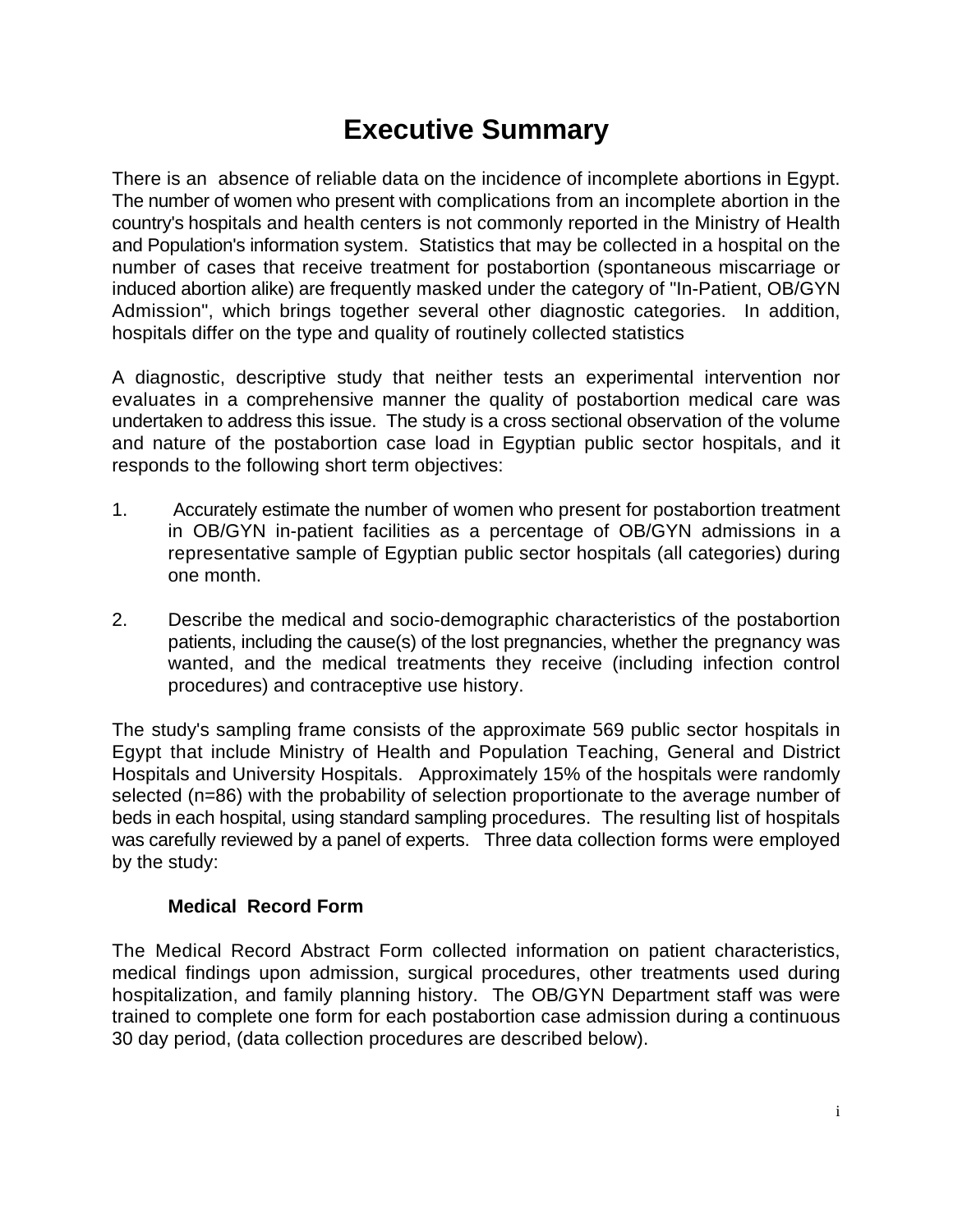# **Executive Summary**

There is an absence of reliable data on the incidence of incomplete abortions in Egypt. The number of women who present with complications from an incomplete abortion in the country's hospitals and health centers is not commonly reported in the Ministry of Health and Population's information system. Statistics that may be collected in a hospital on the number of cases that receive treatment for postabortion (spontaneous miscarriage or induced abortion alike) are frequently masked under the category of "In-Patient, OB/GYN Admission", which brings together several other diagnostic categories. In addition, hospitals differ on the type and quality of routinely collected statistics

A diagnostic, descriptive study that neither tests an experimental intervention nor evaluates in a comprehensive manner the quality of postabortion medical care was undertaken to address this issue. The study is a cross sectional observation of the volume and nature of the postabortion case load in Egyptian public sector hospitals, and it responds to the following short term objectives:

- 1. Accurately estimate the number of women who present for postabortion treatment in OB/GYN in-patient facilities as a percentage of OB/GYN admissions in a representative sample of Egyptian public sector hospitals (all categories) during one month.
- 2. Describe the medical and socio-demographic characteristics of the postabortion patients, including the cause(s) of the lost pregnancies, whether the pregnancy was wanted, and the medical treatments they receive (including infection control procedures) and contraceptive use history.

The study's sampling frame consists of the approximate 569 public sector hospitals in Egypt that include Ministry of Health and Population Teaching, General and District Hospitals and University Hospitals. Approximately 15% of the hospitals were randomly selected (n=86) with the probability of selection proportionate to the average number of beds in each hospital, using standard sampling procedures. The resulting list of hospitals was carefully reviewed by a panel of experts. Three data collection forms were employed by the study:

### **Medical Record Form**

The Medical Record Abstract Form collected information on patient characteristics, medical findings upon admission, surgical procedures, other treatments used during hospitalization, and family planning history. The OB/GYN Department staff was were trained to complete one form for each postabortion case admission during a continuous 30 day period, (data collection procedures are described below).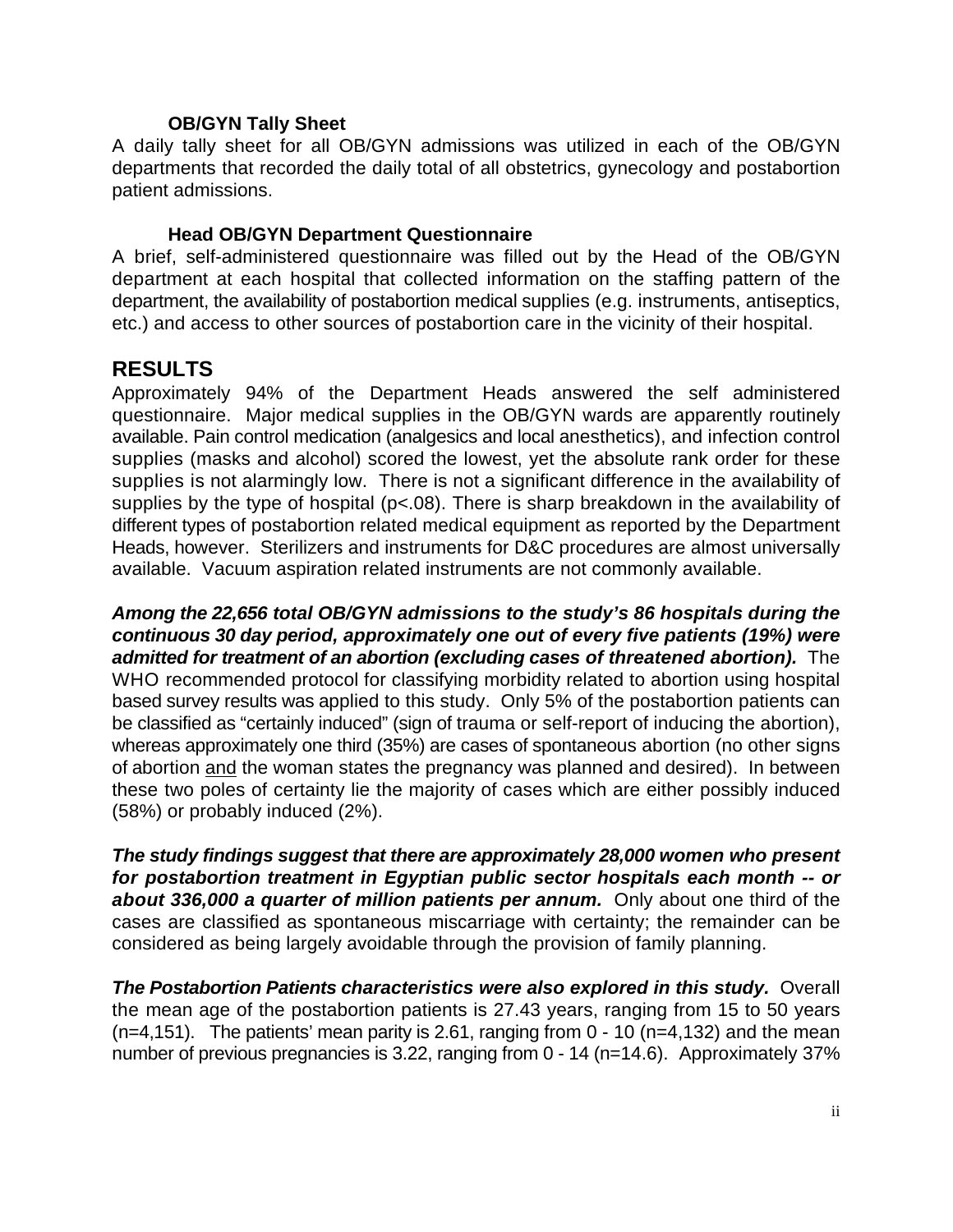#### **OB/GYN Tally Sheet**

A daily tally sheet for all OB/GYN admissions was utilized in each of the OB/GYN departments that recorded the daily total of all obstetrics, gynecology and postabortion patient admissions.

#### **Head OB/GYN Department Questionnaire**

A brief, self-administered questionnaire was filled out by the Head of the OB/GYN department at each hospital that collected information on the staffing pattern of the department, the availability of postabortion medical supplies (e.g. instruments, antiseptics, etc.) and access to other sources of postabortion care in the vicinity of their hospital.

## **RESULTS**

Approximately 94% of the Department Heads answered the self administered questionnaire. Major medical supplies in the OB/GYN wards are apparently routinely available. Pain control medication (analgesics and local anesthetics), and infection control supplies (masks and alcohol) scored the lowest, yet the absolute rank order for these supplies is not alarmingly low. There is not a significant difference in the availability of supplies by the type of hospital (p<.08). There is sharp breakdown in the availability of different types of postabortion related medical equipment as reported by the Department Heads, however. Sterilizers and instruments for D&C procedures are almost universally available. Vacuum aspiration related instruments are not commonly available.

*Among the 22,656 total OB/GYN admissions to the study's 86 hospitals during the continuous 30 day period, approximately one out of every five patients (19%) were admitted for treatment of an abortion (excluding cases of threatened abortion).* The WHO recommended protocol for classifying morbidity related to abortion using hospital based survey results was applied to this study. Only 5% of the postabortion patients can be classified as "certainly induced" (sign of trauma or self-report of inducing the abortion), whereas approximately one third (35%) are cases of spontaneous abortion (no other signs of abortion and the woman states the pregnancy was planned and desired). In between these two poles of certainty lie the majority of cases which are either possibly induced (58%) or probably induced (2%).

*The study findings suggest that there are approximately 28,000 women who present for postabortion treatment in Egyptian public sector hospitals each month -- or about 336,000 a quarter of million patients per annum.* Only about one third of the cases are classified as spontaneous miscarriage with certainty; the remainder can be considered as being largely avoidable through the provision of family planning.

**The Postabortion Patients characteristics were also explored in this study.** Overall the mean age of the postabortion patients is 27.43 years, ranging from 15 to 50 years  $(n=4,151)$ . The patients' mean parity is 2.61, ranging from  $0 - 10$  (n=4,132) and the mean number of previous pregnancies is 3.22, ranging from 0 - 14 (n=14.6). Approximately 37%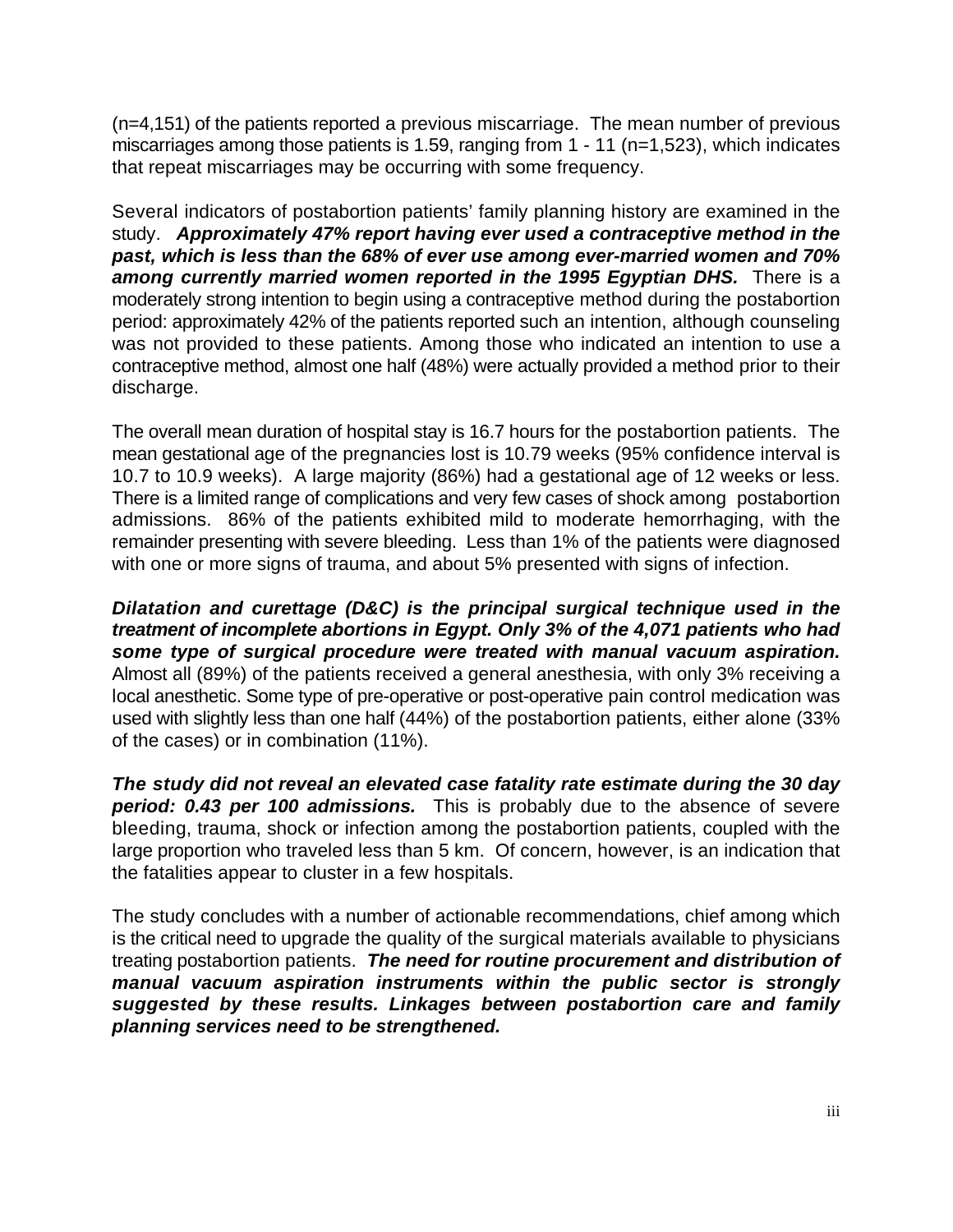(n=4,151) of the patients reported a previous miscarriage. The mean number of previous miscarriages among those patients is 1.59, ranging from 1 - 11 (n=1,523), which indicates that repeat miscarriages may be occurring with some frequency.

Several indicators of postabortion patients' family planning history are examined in the study. *Approximately 47% report having ever used a contraceptive method in the past, which is less than the 68% of ever use among ever-married women and 70%* among currently married women reported in the 1995 Egyptian DHS. There is a moderately strong intention to begin using a contraceptive method during the postabortion period: approximately 42% of the patients reported such an intention, although counseling was not provided to these patients. Among those who indicated an intention to use a contraceptive method, almost one half (48%) were actually provided a method prior to their discharge.

The overall mean duration of hospital stay is 16.7 hours for the postabortion patients. The mean gestational age of the pregnancies lost is 10.79 weeks (95% confidence interval is 10.7 to 10.9 weeks). A large majority (86%) had a gestational age of 12 weeks or less. There is a limited range of complications and very few cases of shock among postabortion admissions. 86% of the patients exhibited mild to moderate hemorrhaging, with the remainder presenting with severe bleeding. Less than 1% of the patients were diagnosed with one or more signs of trauma, and about 5% presented with signs of infection.

*Dilatation and curettage (D&C) is the principal surgical technique used in the treatment of incomplete abortions in Egypt. Only 3% of the 4,071 patients who had some type of surgical procedure were treated with manual vacuum aspiration.* Almost all (89%) of the patients received a general anesthesia, with only 3% receiving a local anesthetic. Some type of pre-operative or post-operative pain control medication was used with slightly less than one half (44%) of the postabortion patients, either alone (33% of the cases) or in combination (11%).

*The study did not reveal an elevated case fatality rate estimate during the 30 day period: 0.43 per 100 admissions.* This is probably due to the absence of severe bleeding, trauma, shock or infection among the postabortion patients, coupled with the large proportion who traveled less than 5 km. Of concern, however, is an indication that the fatalities appear to cluster in a few hospitals.

The study concludes with a number of actionable recommendations, chief among which is the critical need to upgrade the quality of the surgical materials available to physicians treating postabortion patients. *The need for routine procurement and distribution of manual vacuum aspiration instruments within the public sector is strongly suggested by these results. Linkages between postabortion care and family planning services need to be strengthened.*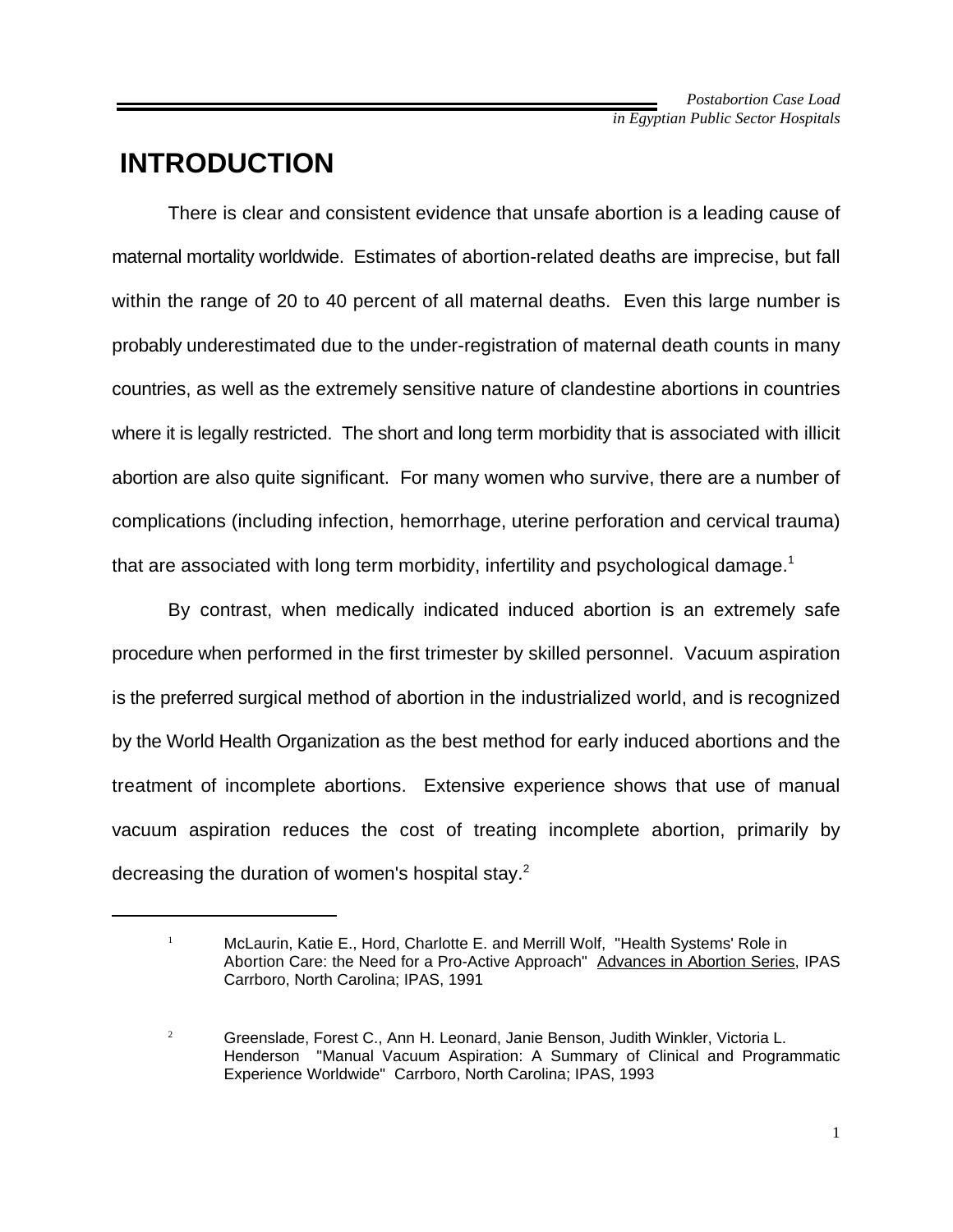## **INTRODUCTION**

There is clear and consistent evidence that unsafe abortion is a leading cause of maternal mortality worldwide. Estimates of abortion-related deaths are imprecise, but fall within the range of 20 to 40 percent of all maternal deaths. Even this large number is probably underestimated due to the under-registration of maternal death counts in many countries, as well as the extremely sensitive nature of clandestine abortions in countries where it is legally restricted. The short and long term morbidity that is associated with illicit abortion are also quite significant. For many women who survive, there are a number of complications (including infection, hemorrhage, uterine perforation and cervical trauma) that are associated with long term morbidity, infertility and psychological damage.<sup>1</sup>

By contrast, when medically indicated induced abortion is an extremely safe procedure when performed in the first trimester by skilled personnel. Vacuum aspiration is the preferred surgical method of abortion in the industrialized world, and is recognized by the World Health Organization as the best method for early induced abortions and the treatment of incomplete abortions. Extensive experience shows that use of manual vacuum aspiration reduces the cost of treating incomplete abortion, primarily by decreasing the duration of women's hospital stay.<sup>2</sup>

<sup>&</sup>lt;sup>1</sup> McLaurin, Katie E., Hord, Charlotte E. and Merrill Wolf, "Health Systems' Role in Abortion Care: the Need for a Pro-Active Approach" Advances in Abortion Series, IPAS Carrboro, North Carolina; IPAS, 1991

<sup>&</sup>lt;sup>2</sup> Greenslade, Forest C., Ann H. Leonard, Janie Benson, Judith Winkler, Victoria L. Henderson "Manual Vacuum Aspiration: A Summary of Clinical and Programmatic Experience Worldwide" Carrboro, North Carolina; IPAS, 1993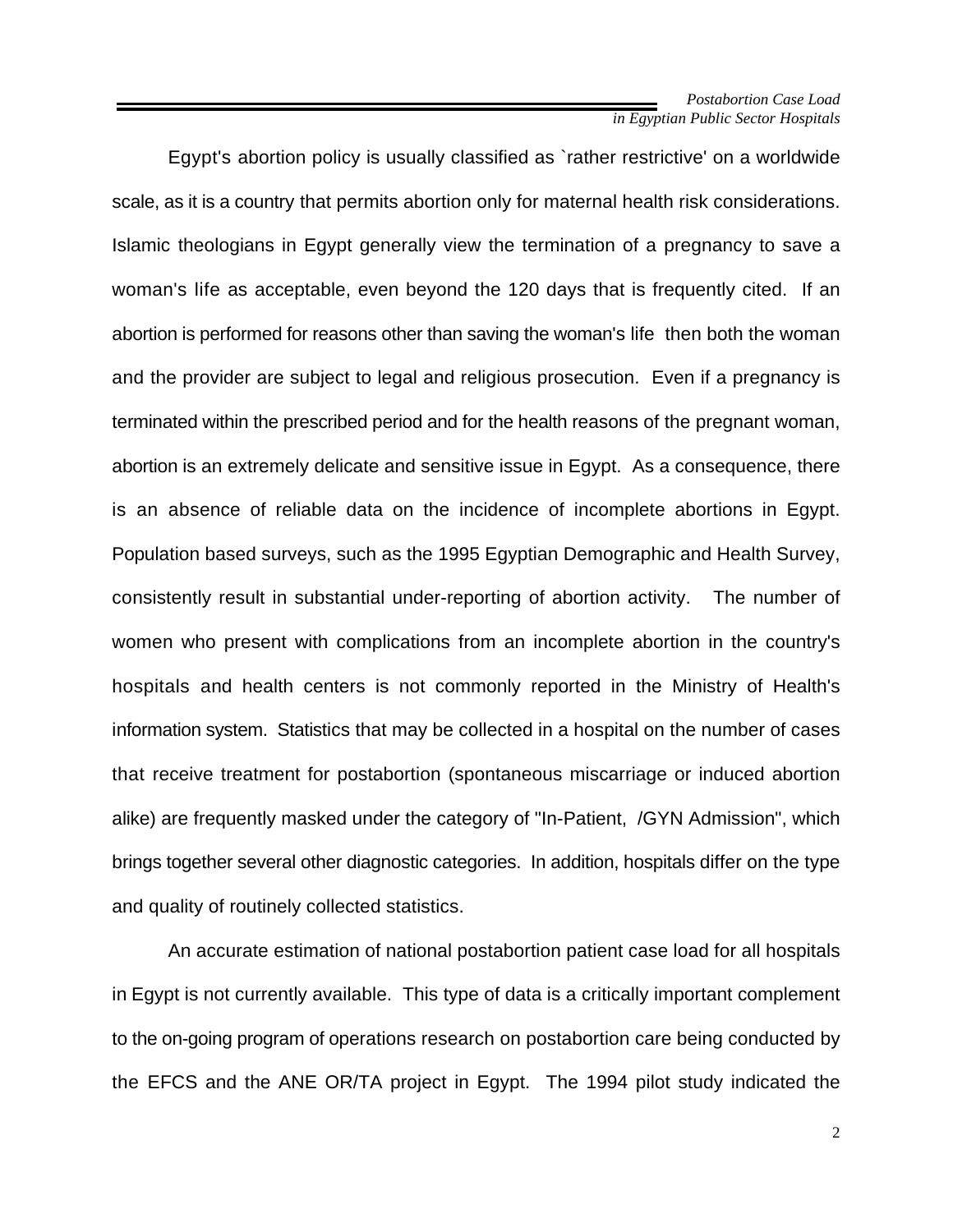Egypt's abortion policy is usually classified as `rather restrictive' on a worldwide scale, as it is a country that permits abortion only for maternal health risk considerations. Islamic theologians in Egypt generally view the termination of a pregnancy to save a woman's life as acceptable, even beyond the 120 days that is frequently cited. If an abortion is performed for reasons other than saving the woman's life then both the woman and the provider are subject to legal and religious prosecution. Even if a pregnancy is terminated within the prescribed period and for the health reasons of the pregnant woman, abortion is an extremely delicate and sensitive issue in Egypt. As a consequence, there is an absence of reliable data on the incidence of incomplete abortions in Egypt. Population based surveys, such as the 1995 Egyptian Demographic and Health Survey, consistently result in substantial under-reporting of abortion activity. The number of women who present with complications from an incomplete abortion in the country's hospitals and health centers is not commonly reported in the Ministry of Health's information system. Statistics that may be collected in a hospital on the number of cases that receive treatment for postabortion (spontaneous miscarriage or induced abortion alike) are frequently masked under the category of "In-Patient, /GYN Admission", which brings together several other diagnostic categories. In addition, hospitals differ on the type and quality of routinely collected statistics.

An accurate estimation of national postabortion patient case load for all hospitals in Egypt is not currently available. This type of data is a critically important complement to the on-going program of operations research on postabortion care being conducted by the EFCS and the ANE OR/TA project in Egypt. The 1994 pilot study indicated the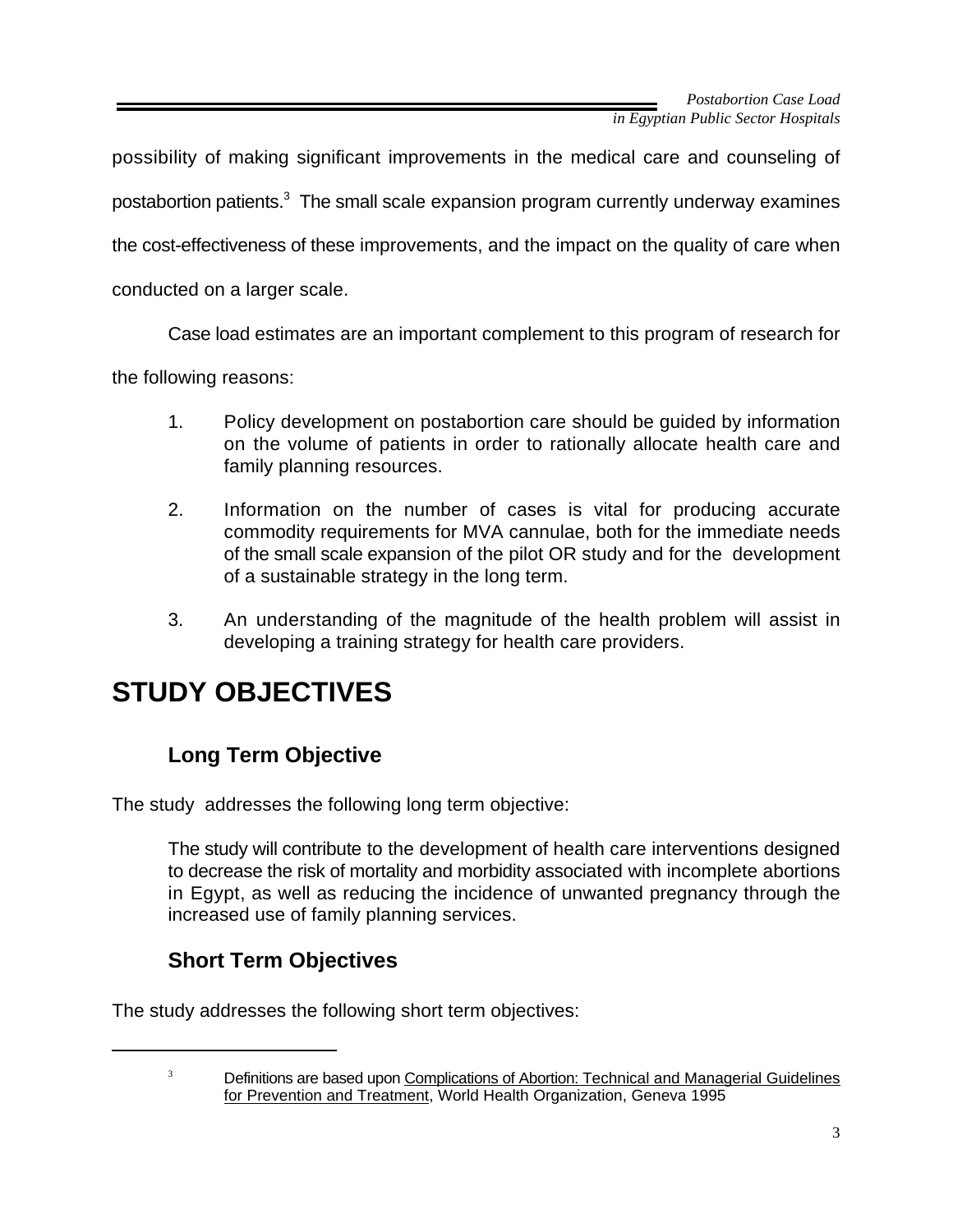possibility of making significant improvements in the medical care and counseling of postabortion patients. $3$  The small scale expansion program currently underway examines the cost-effectiveness of these improvements, and the impact on the quality of care when conducted on a larger scale.

Case load estimates are an important complement to this program of research for

the following reasons:

- 1. Policy development on postabortion care should be guided by information on the volume of patients in order to rationally allocate health care and family planning resources.
- 2. Information on the number of cases is vital for producing accurate commodity requirements for MVA cannulae, both for the immediate needs of the small scale expansion of the pilot OR study and for the development of a sustainable strategy in the long term.
- 3. An understanding of the magnitude of the health problem will assist in developing a training strategy for health care providers.

# **STUDY OBJECTIVES**

## **Long Term Objective**

The study addresses the following long term objective:

The study will contribute to the development of health care interventions designed to decrease the risk of mortality and morbidity associated with incomplete abortions in Egypt, as well as reducing the incidence of unwanted pregnancy through the increased use of family planning services.

## **Short Term Objectives**

The study addresses the following short term objectives:

<sup>&</sup>lt;sup>3</sup> Definitions are based upon Complications of Abortion: Technical and Managerial Guidelines for Prevention and Treatment, World Health Organization, Geneva 1995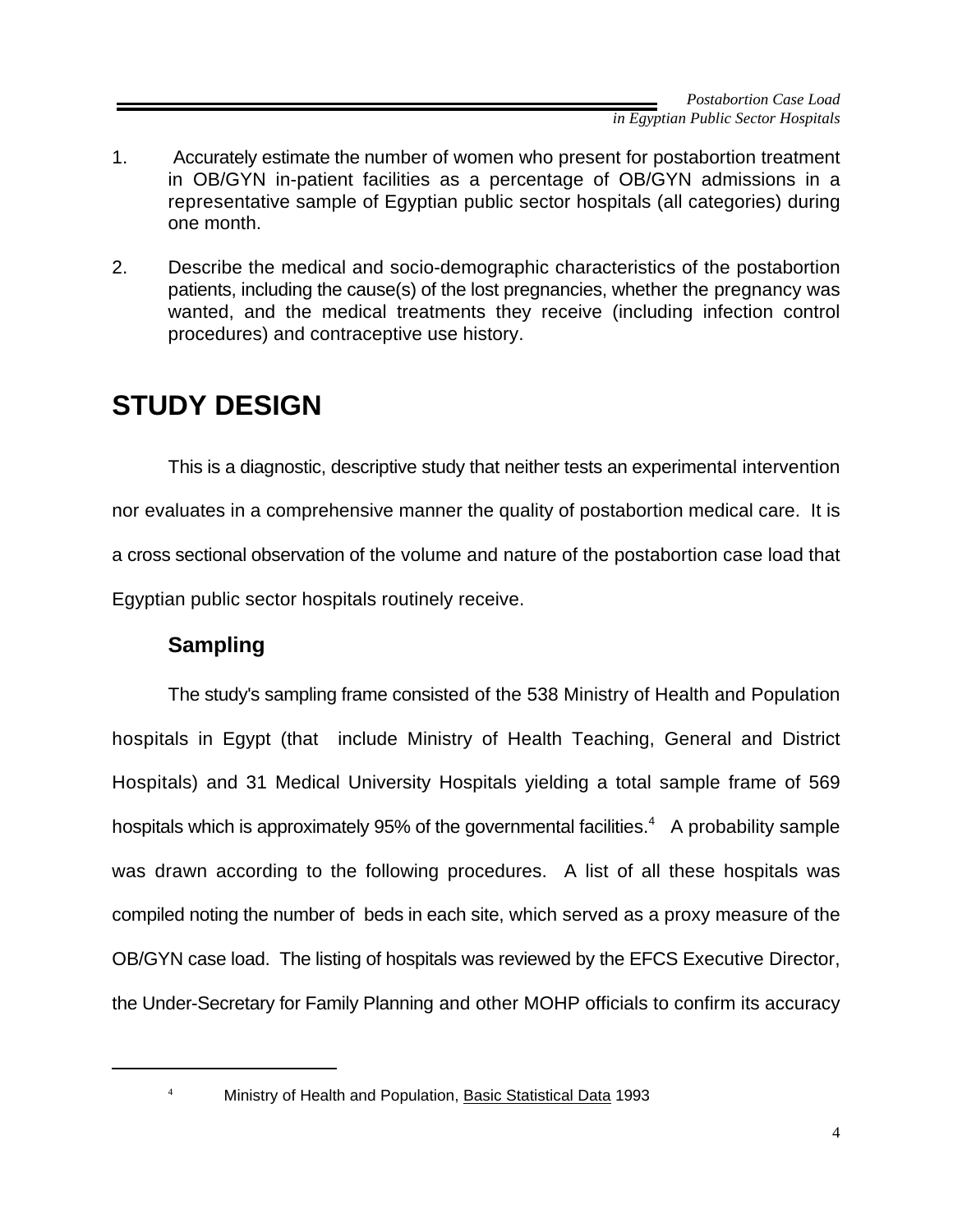- 1. Accurately estimate the number of women who present for postabortion treatment in OB/GYN in-patient facilities as a percentage of OB/GYN admissions in a representative sample of Egyptian public sector hospitals (all categories) during one month.
- 2. Describe the medical and socio-demographic characteristics of the postabortion patients, including the cause(s) of the lost pregnancies, whether the pregnancy was wanted, and the medical treatments they receive (including infection control procedures) and contraceptive use history.

# **STUDY DESIGN**

This is a diagnostic, descriptive study that neither tests an experimental intervention nor evaluates in a comprehensive manner the quality of postabortion medical care. It is a cross sectional observation of the volume and nature of the postabortion case load that Egyptian public sector hospitals routinely receive.

## **Sampling**

The study's sampling frame consisted of the 538 Ministry of Health and Population hospitals in Egypt (that include Ministry of Health Teaching, General and District Hospitals) and 31 Medical University Hospitals yielding a total sample frame of 569 hospitals which is approximately 95% of the governmental facilities.<sup>4</sup> A probability sample was drawn according to the following procedures. A list of all these hospitals was compiled noting the number of beds in each site, which served as a proxy measure of the OB/GYN case load. The listing of hospitals was reviewed by the EFCS Executive Director, the Under-Secretary for Family Planning and other MOHP officials to confirm its accuracy

<sup>&</sup>lt;sup>4</sup> Ministry of Health and Population, **Basic Statistical Data 1993**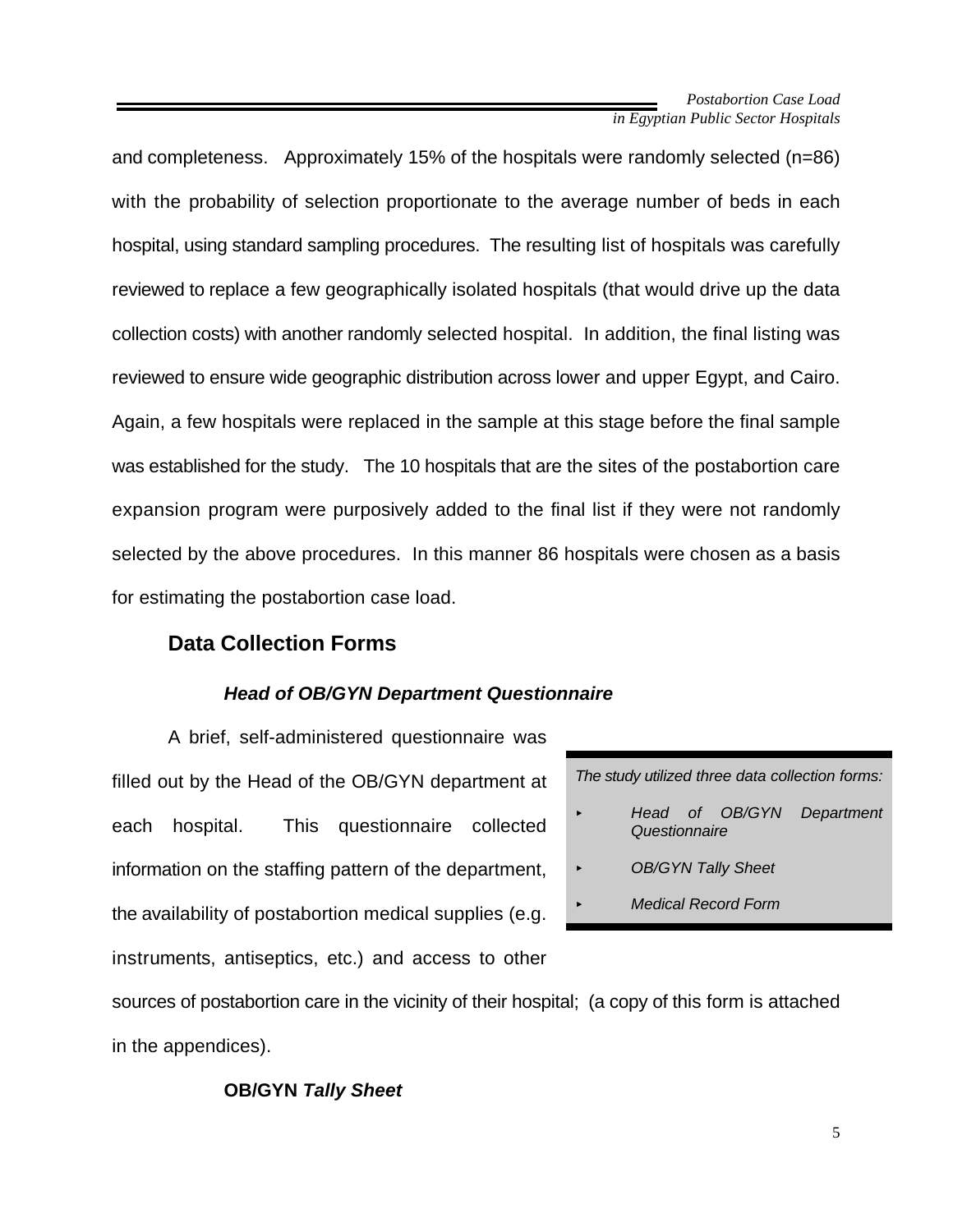and completeness. Approximately 15% of the hospitals were randomly selected (n=86) with the probability of selection proportionate to the average number of beds in each hospital, using standard sampling procedures. The resulting list of hospitals was carefully reviewed to replace a few geographically isolated hospitals (that would drive up the data collection costs) with another randomly selected hospital. In addition, the final listing was reviewed to ensure wide geographic distribution across lower and upper Egypt, and Cairo. Again, a few hospitals were replaced in the sample at this stage before the final sample was established for the study. The 10 hospitals that are the sites of the postabortion care expansion program were purposively added to the final list if they were not randomly selected by the above procedures. In this manner 86 hospitals were chosen as a basis for estimating the postabortion case load.

### **Data Collection Forms**

#### *Head of OB/GYN Department Questionnaire*

A brief, self-administered questionnaire was filled out by the Head of the OB/GYN department at each hospital. This questionnaire collected information on the staffing pattern of the department, the availability of postabortion medical supplies (e.g. instruments, antiseptics, etc.) and access to other

*The study utilized three data collection forms:*

- *< Head of OB/GYN Department Questionnaire*
	- *< OB/GYN Tally Sheet*
		- *< Medical Record Form*

sources of postabortion care in the vicinity of their hospital; (a copy of this form is attached in the appendices).

#### **OB/GYN** *Tally Sheet*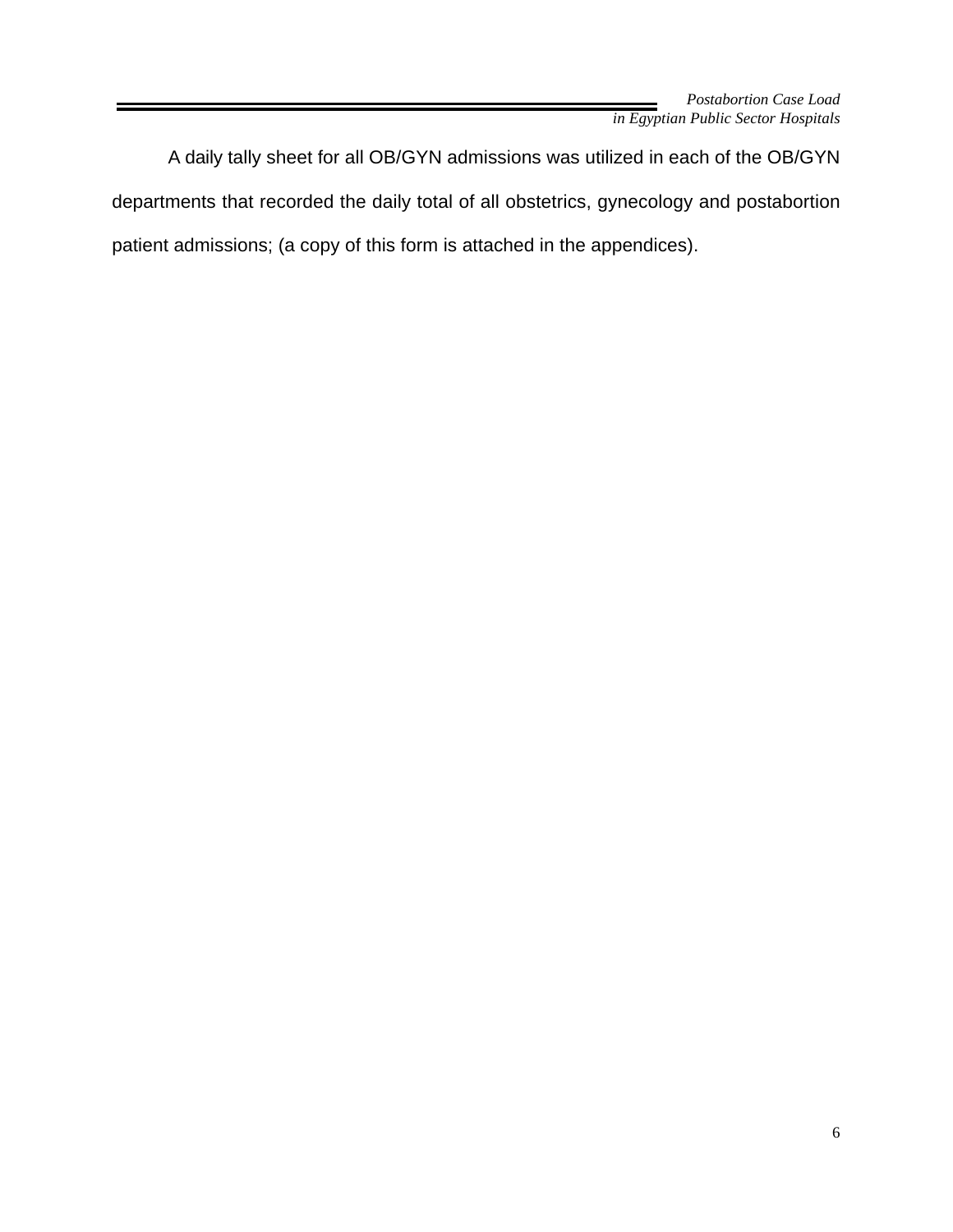A daily tally sheet for all OB/GYN admissions was utilized in each of the OB/GYN departments that recorded the daily total of all obstetrics, gynecology and postabortion patient admissions; (a copy of this form is attached in the appendices).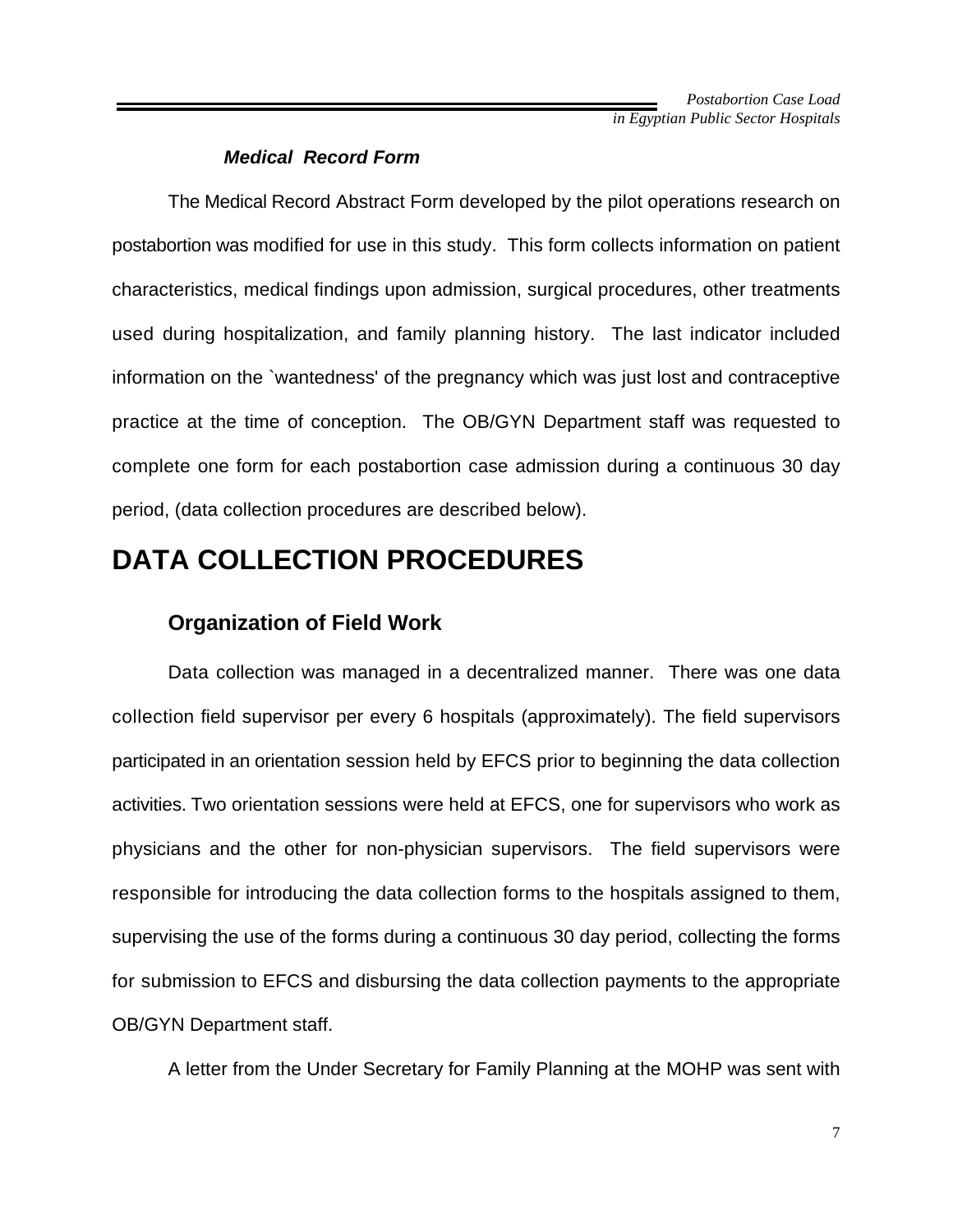#### *Medical Record Form*

The Medical Record Abstract Form developed by the pilot operations research on postabortion was modified for use in this study. This form collects information on patient characteristics, medical findings upon admission, surgical procedures, other treatments used during hospitalization, and family planning history. The last indicator included information on the `wantedness' of the pregnancy which was just lost and contraceptive practice at the time of conception. The OB/GYN Department staff was requested to complete one form for each postabortion case admission during a continuous 30 day period, (data collection procedures are described below).

## **DATA COLLECTION PROCEDURES**

### **Organization of Field Work**

Data collection was managed in a decentralized manner. There was one data collection field supervisor per every 6 hospitals (approximately). The field supervisors participated in an orientation session held by EFCS prior to beginning the data collection activities. Two orientation sessions were held at EFCS, one for supervisors who work as physicians and the other for non-physician supervisors. The field supervisors were responsible for introducing the data collection forms to the hospitals assigned to them, supervising the use of the forms during a continuous 30 day period, collecting the forms for submission to EFCS and disbursing the data collection payments to the appropriate OB/GYN Department staff.

A letter from the Under Secretary for Family Planning at the MOHP was sent with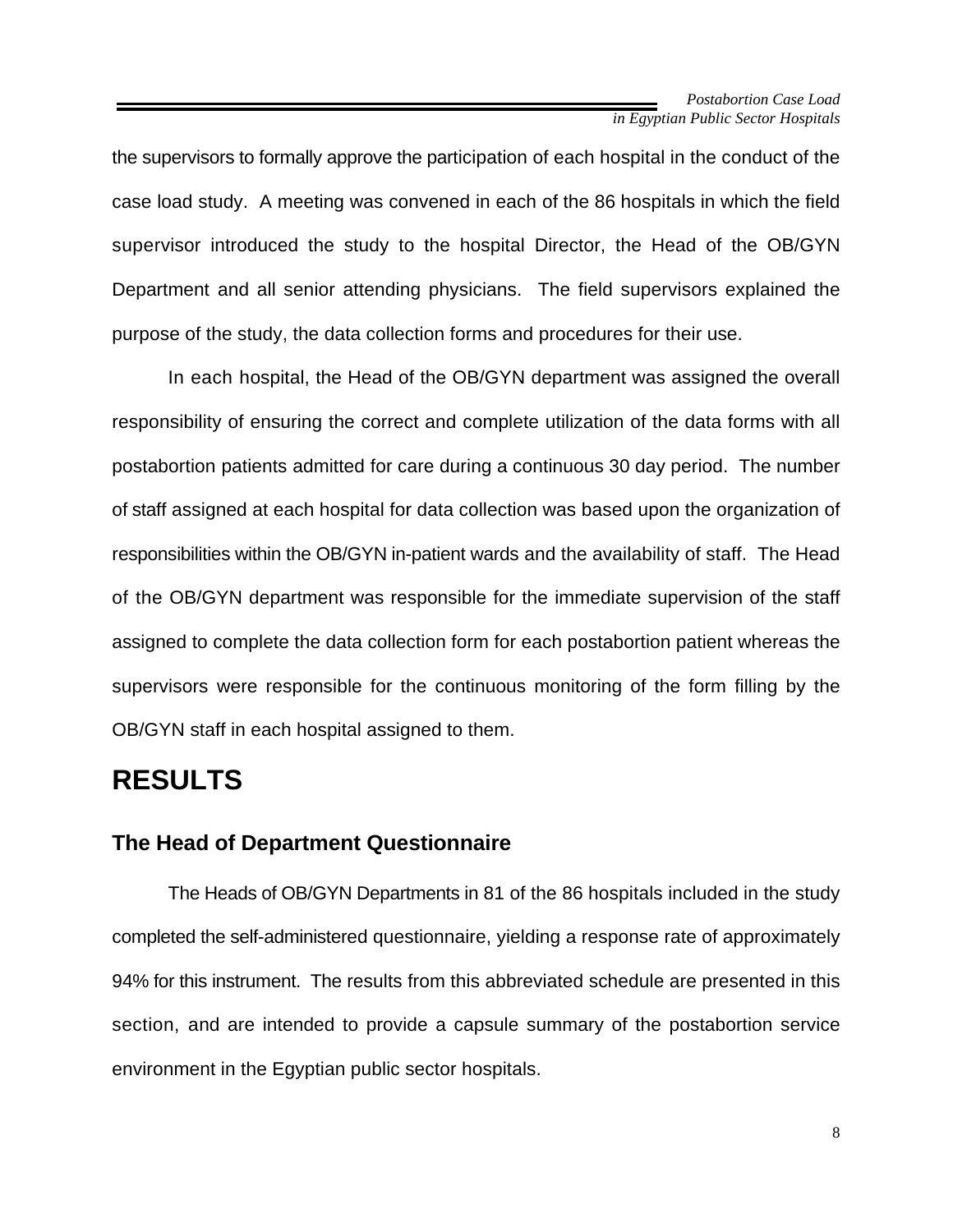the supervisors to formally approve the participation of each hospital in the conduct of the case load study. A meeting was convened in each of the 86 hospitals in which the field supervisor introduced the study to the hospital Director, the Head of the OB/GYN Department and all senior attending physicians. The field supervisors explained the purpose of the study, the data collection forms and procedures for their use.

In each hospital, the Head of the OB/GYN department was assigned the overall responsibility of ensuring the correct and complete utilization of the data forms with all postabortion patients admitted for care during a continuous 30 day period. The number of staff assigned at each hospital for data collection was based upon the organization of responsibilities within the OB/GYN in-patient wards and the availability of staff. The Head of the OB/GYN department was responsible for the immediate supervision of the staff assigned to complete the data collection form for each postabortion patient whereas the supervisors were responsible for the continuous monitoring of the form filling by the OB/GYN staff in each hospital assigned to them.

## **RESULTS**

### **The Head of Department Questionnaire**

The Heads of OB/GYN Departments in 81 of the 86 hospitals included in the study completed the self-administered questionnaire, yielding a response rate of approximately 94% for this instrument. The results from this abbreviated schedule are presented in this section, and are intended to provide a capsule summary of the postabortion service environment in the Egyptian public sector hospitals.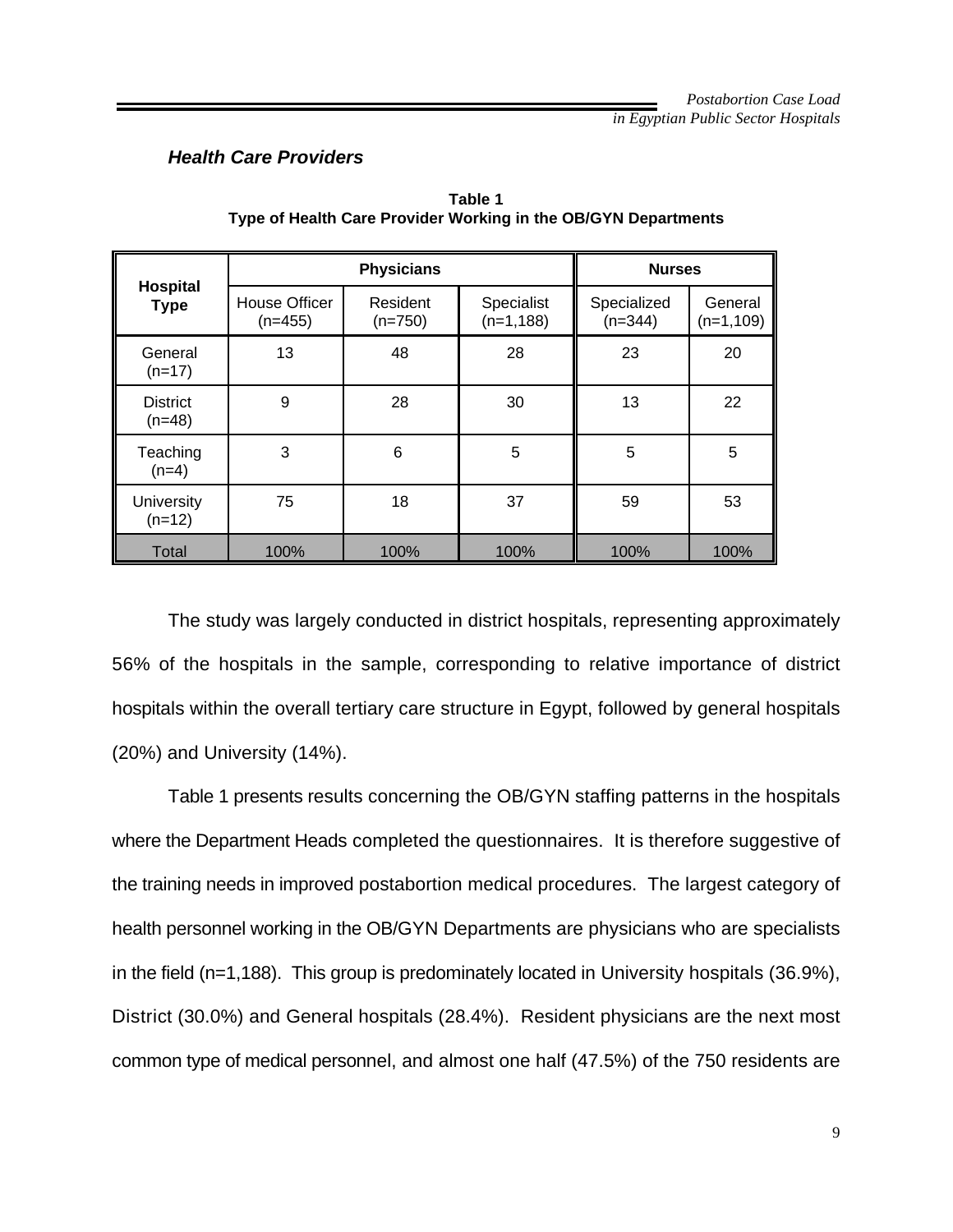#### *Health Care Providers*

|                             | <b>Physicians</b>                 |                       |                            | <b>Nurses</b>            |                        |
|-----------------------------|-----------------------------------|-----------------------|----------------------------|--------------------------|------------------------|
| Hospital<br><b>Type</b>     | <b>House Officer</b><br>$(n=455)$ | Resident<br>$(n=750)$ | Specialist<br>$(n=1, 188)$ | Specialized<br>$(n=344)$ | General<br>$(n=1,109)$ |
| General<br>$(n=17)$         | 13                                | 48                    | 28                         | 23                       | 20                     |
| <b>District</b><br>$(n=48)$ | 9                                 | 28                    | 30                         | 13                       | 22                     |
| Teaching<br>$(n=4)$         | 3                                 | 6                     | 5                          | 5                        | 5                      |
| University<br>$(n=12)$      | 75                                | 18                    | 37                         | 59                       | 53                     |
| Total                       | 100%                              | 100%                  | 100%                       | 100%                     | 100%                   |

**Table 1 Type of Health Care Provider Working in the OB/GYN Departments**

The study was largely conducted in district hospitals, representing approximately 56% of the hospitals in the sample, corresponding to relative importance of district hospitals within the overall tertiary care structure in Egypt, followed by general hospitals (20%) and University (14%).

Table 1 presents results concerning the OB/GYN staffing patterns in the hospitals where the Department Heads completed the questionnaires. It is therefore suggestive of the training needs in improved postabortion medical procedures. The largest category of health personnel working in the OB/GYN Departments are physicians who are specialists in the field (n=1,188). This group is predominately located in University hospitals (36.9%), District (30.0%) and General hospitals (28.4%). Resident physicians are the next most common type of medical personnel, and almost one half (47.5%) of the 750 residents are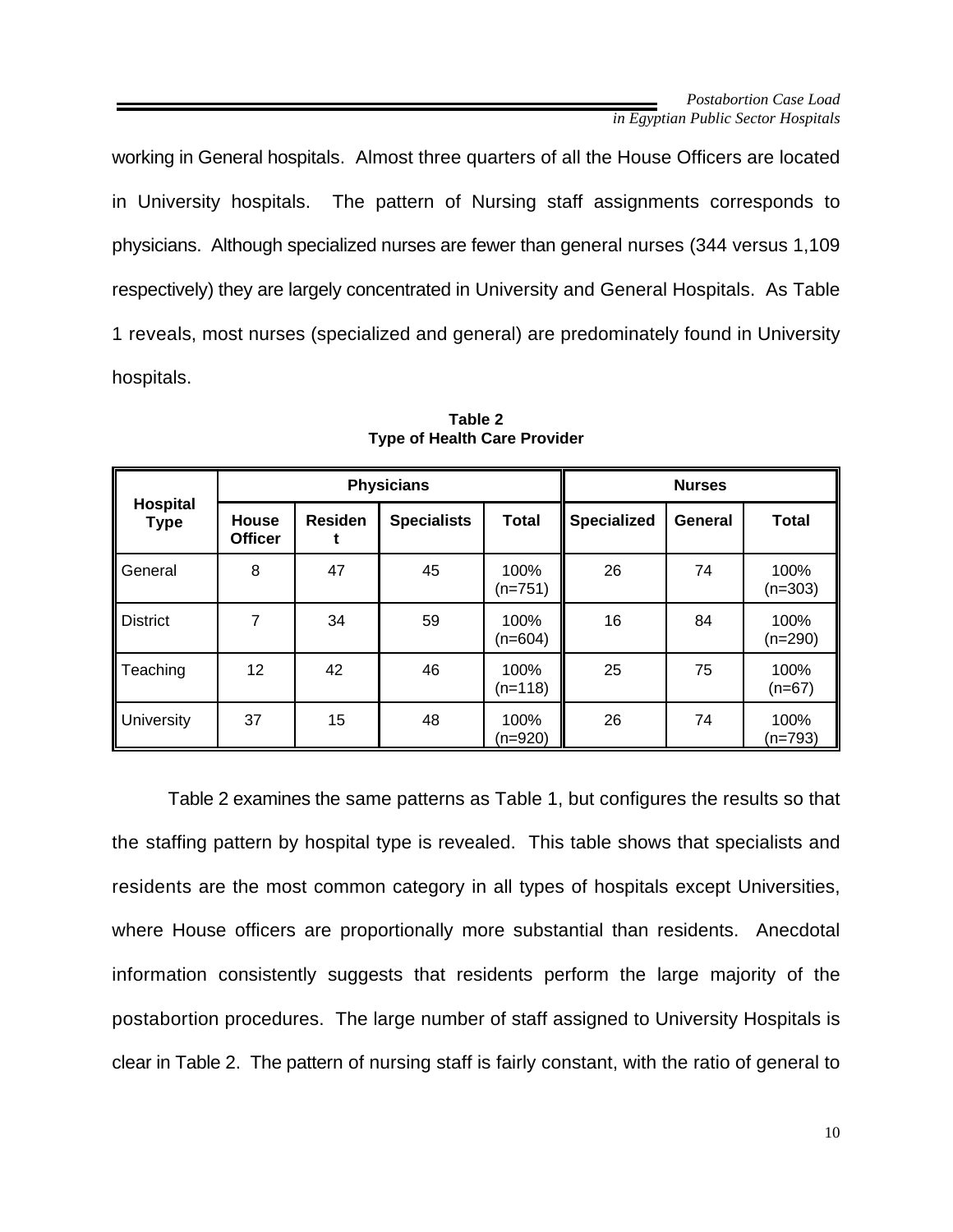working in General hospitals. Almost three quarters of all the House Officers are located in University hospitals. The pattern of Nursing staff assignments corresponds to physicians. Although specialized nurses are fewer than general nurses (344 versus 1,109 respectively) they are largely concentrated in University and General Hospitals. As Table 1 reveals, most nurses (specialized and general) are predominately found in University hospitals.

|                                | <b>Physicians</b>       |                |                    |                   | <b>Nurses</b>      |                |                   |
|--------------------------------|-------------------------|----------------|--------------------|-------------------|--------------------|----------------|-------------------|
| <b>Hospital</b><br><b>Type</b> | House<br><b>Officer</b> | <b>Residen</b> | <b>Specialists</b> | <b>Total</b>      | <b>Specialized</b> | <b>General</b> | <b>Total</b>      |
| General                        | 8                       | 47             | 45                 | 100%<br>$(n=751)$ | 26                 | 74             | 100%<br>$(n=303)$ |
| <b>District</b>                | 7                       | 34             | 59                 | 100%<br>$(n=604)$ | 16                 | 84             | 100%<br>$(n=290)$ |
| Teaching                       | 12                      | 42             | 46                 | 100%<br>$(n=118)$ | 25                 | 75             | 100%<br>$(n=67)$  |
| <b>University</b>              | 37                      | 15             | 48                 | 100%<br>(n=920)   | 26                 | 74             | 100%<br>$(n=793)$ |

**Table 2 Type of Health Care Provider**

Table 2 examines the same patterns as Table 1, but configures the results so that the staffing pattern by hospital type is revealed. This table shows that specialists and residents are the most common category in all types of hospitals except Universities, where House officers are proportionally more substantial than residents. Anecdotal information consistently suggests that residents perform the large majority of the postabortion procedures. The large number of staff assigned to University Hospitals is clear in Table 2. The pattern of nursing staff is fairly constant, with the ratio of general to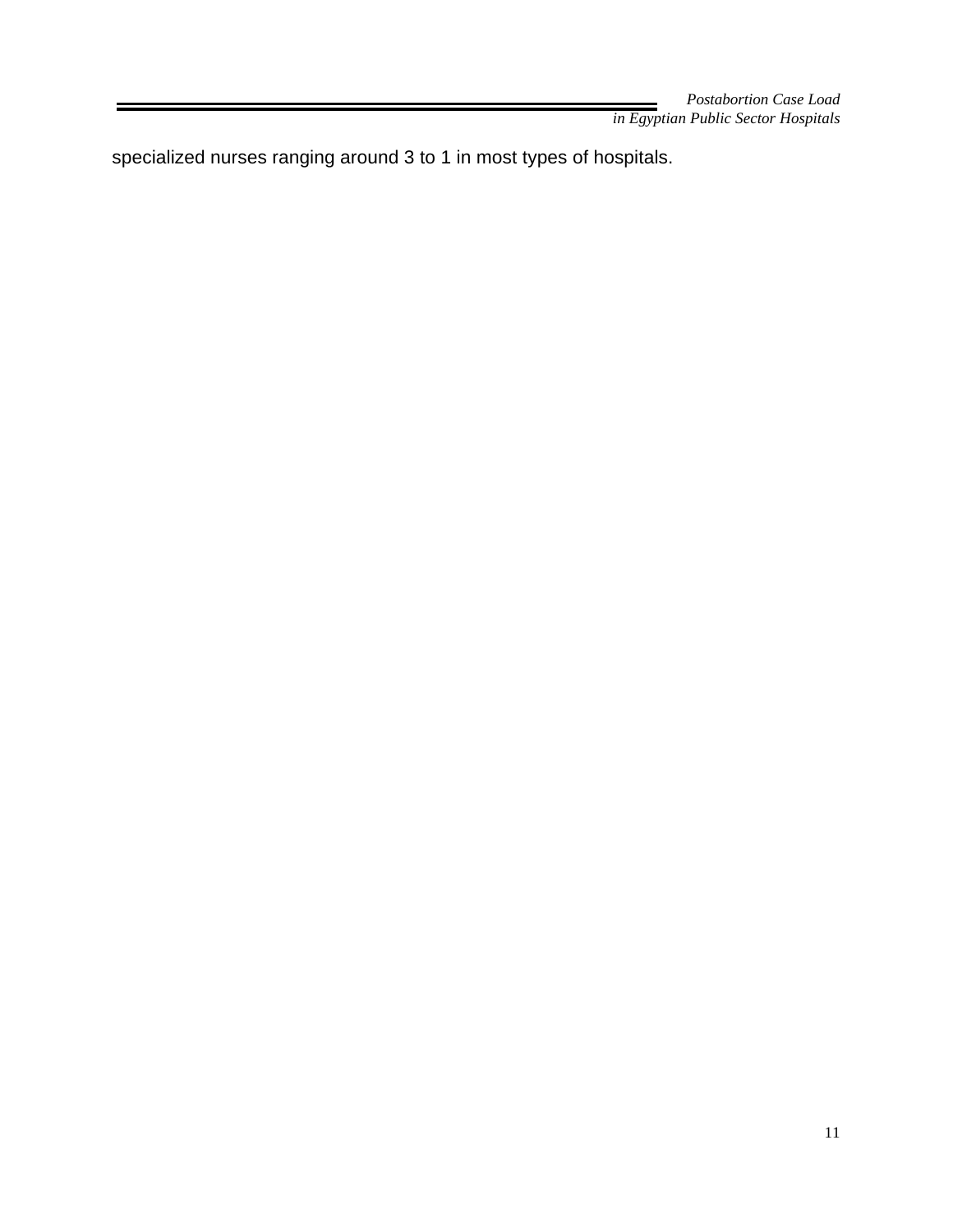specialized nurses ranging around 3 to 1 in most types of hospitals.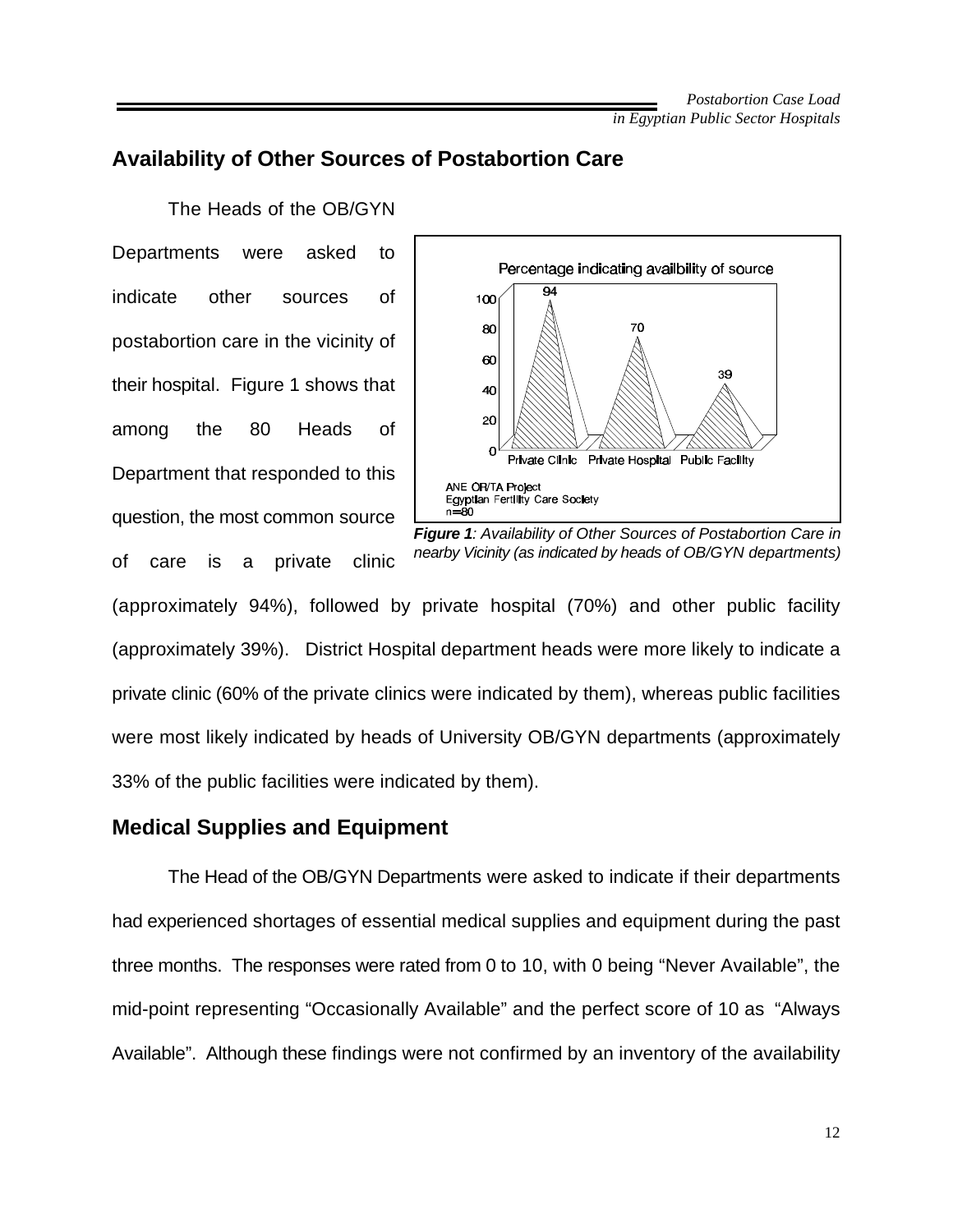### **Availability of Other Sources of Postabortion Care**

The Heads of the OB/GYN Departments were asked to indicate other sources of postabortion care in the vicinity of their hospital. Figure 1 shows that among the 80 Heads of Department that responded to this question, the most common source of care is a private clinic



*Figure 1: Availability of Other Sources of Postabortion Care in nearby Vicinity (as indicated by heads of OB/GYN departments)*

(approximately 94%), followed by private hospital (70%) and other public facility (approximately 39%). District Hospital department heads were more likely to indicate a private clinic (60% of the private clinics were indicated by them), whereas public facilities were most likely indicated by heads of University OB/GYN departments (approximately 33% of the public facilities were indicated by them).

#### **Medical Supplies and Equipment**

The Head of the OB/GYN Departments were asked to indicate if their departments had experienced shortages of essential medical supplies and equipment during the past three months. The responses were rated from 0 to 10, with 0 being "Never Available", the mid-point representing "Occasionally Available" and the perfect score of 10 as "Always Available". Although these findings were not confirmed by an inventory of the availability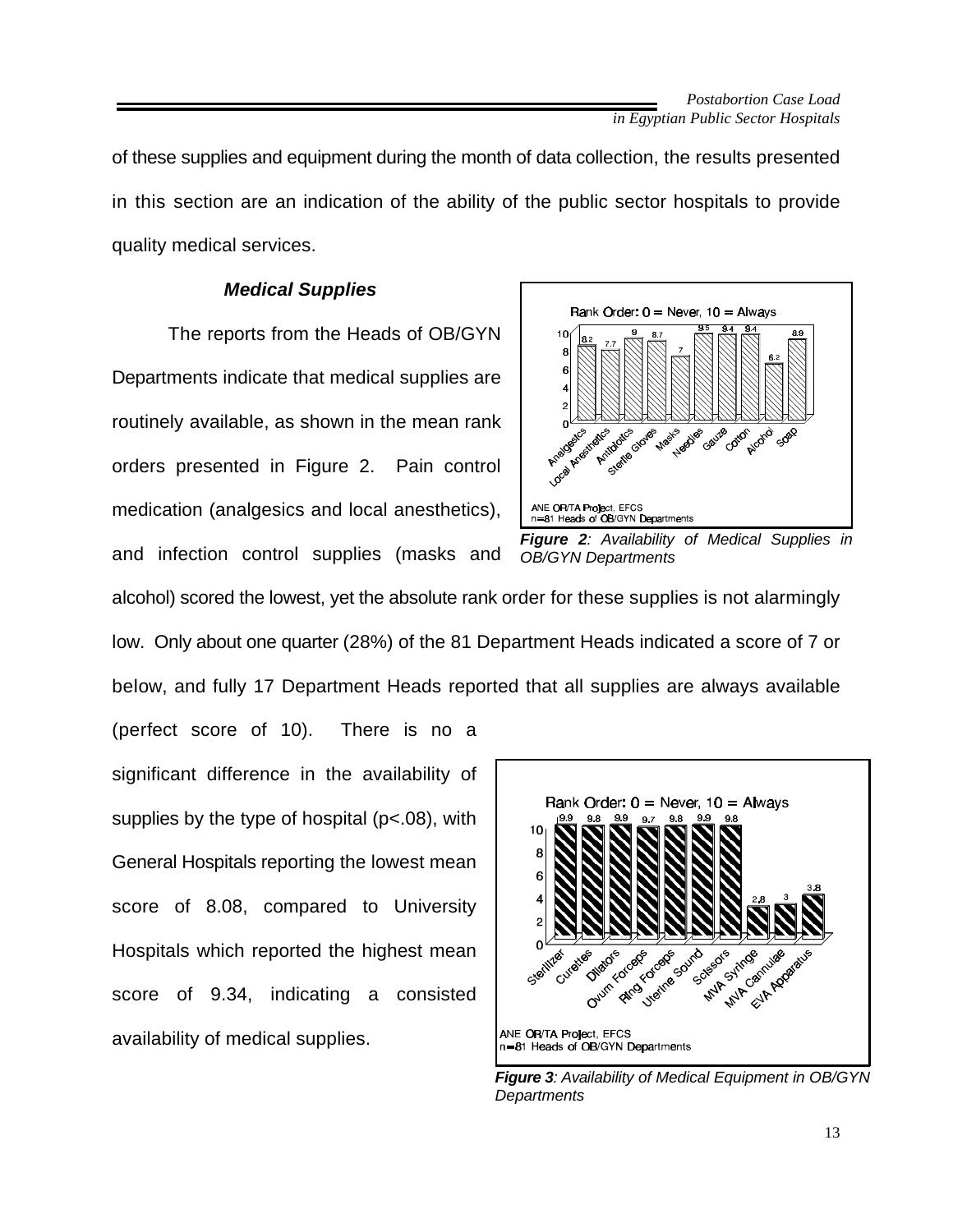of these supplies and equipment during the month of data collection, the results presented in this section are an indication of the ability of the public sector hospitals to provide quality medical services.

#### *Medical Supplies*

The reports from the Heads of OB/GYN Departments indicate that medical supplies are routinely available, as shown in the mean rank orders presented in Figure 2. Pain control medication (analgesics and local anesthetics), and infection control supplies (masks and





alcohol) scored the lowest, yet the absolute rank order for these supplies is not alarmingly low. Only about one quarter (28%) of the 81 Department Heads indicated a score of 7 or below, and fully 17 Department Heads reported that all supplies are always available (perfect score of 10). There is no a

significant difference in the availability of supplies by the type of hospital (p<.08), with General Hospitals reporting the lowest mean score of 8.08, compared to University Hospitals which reported the highest mean score of 9.34, indicating a consisted availability of medical supplies.



*Figure 3: Availability of Medical Equipment in OB/GYN Departments*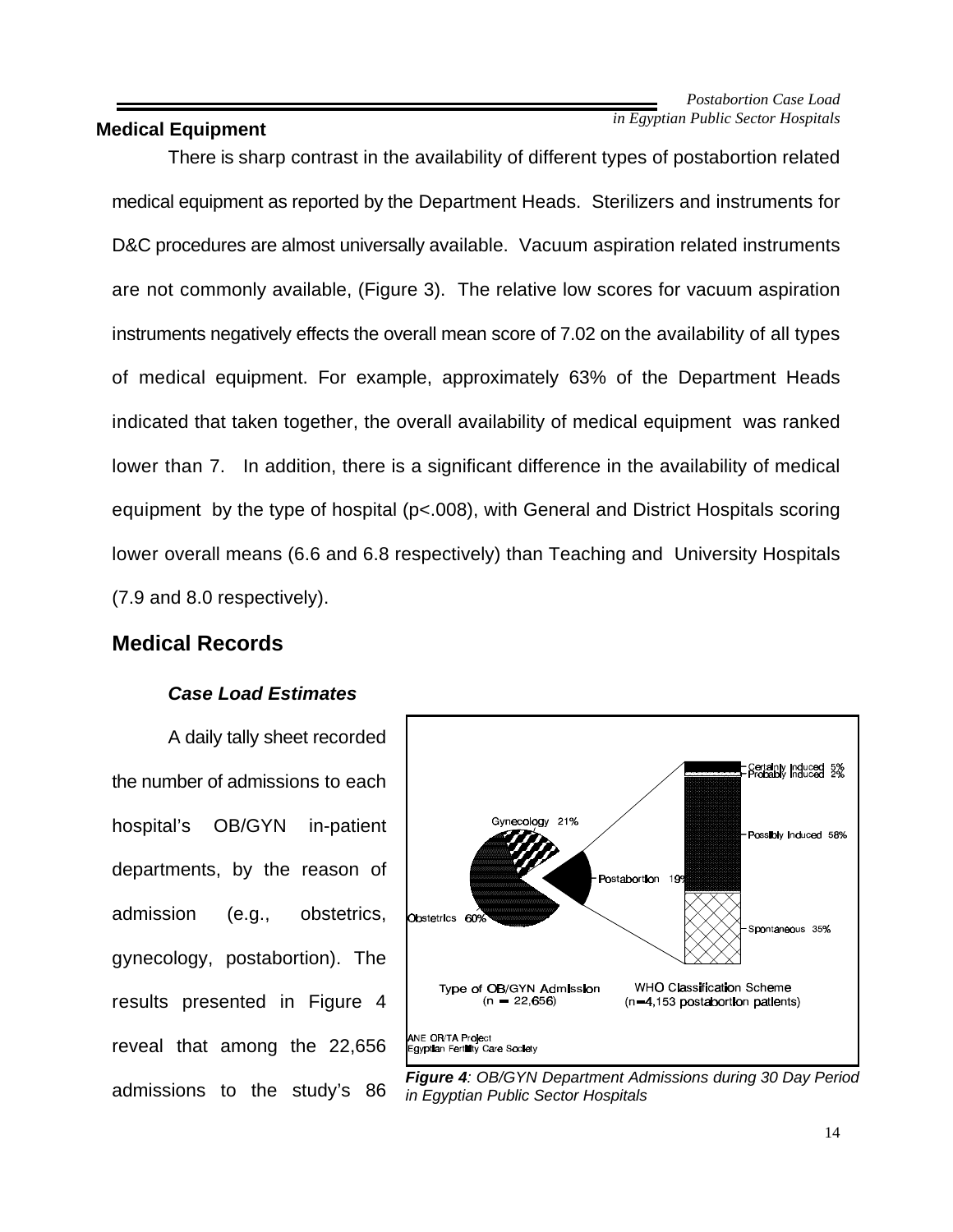#### **Medical Equipment**

There is sharp contrast in the availability of different types of postabortion related medical equipment as reported by the Department Heads. Sterilizers and instruments for D&C procedures are almost universally available. Vacuum aspiration related instruments are not commonly available, (Figure 3). The relative low scores for vacuum aspiration instruments negatively effects the overall mean score of 7.02 on the availability of all types of medical equipment. For example, approximately 63% of the Department Heads indicated that taken together, the overall availability of medical equipment was ranked lower than 7. In addition, there is a significant difference in the availability of medical equipment by the type of hospital (p<.008), with General and District Hospitals scoring lower overall means (6.6 and 6.8 respectively) than Teaching and University Hospitals (7.9 and 8.0 respectively).

### **Medical Records**

#### *Case Load Estimates*

A daily tally sheet recorded the number of admissions to each hospital's OB/GYN in-patient departments, by the reason of admission (e.g., obstetrics, gynecology, postabortion). The results presented in Figure 4 reveal that among the 22,656 admissions to the study's 86



*Figure 4: OB/GYN Department Admissions during 30 Day Period in Egyptian Public Sector Hospitals*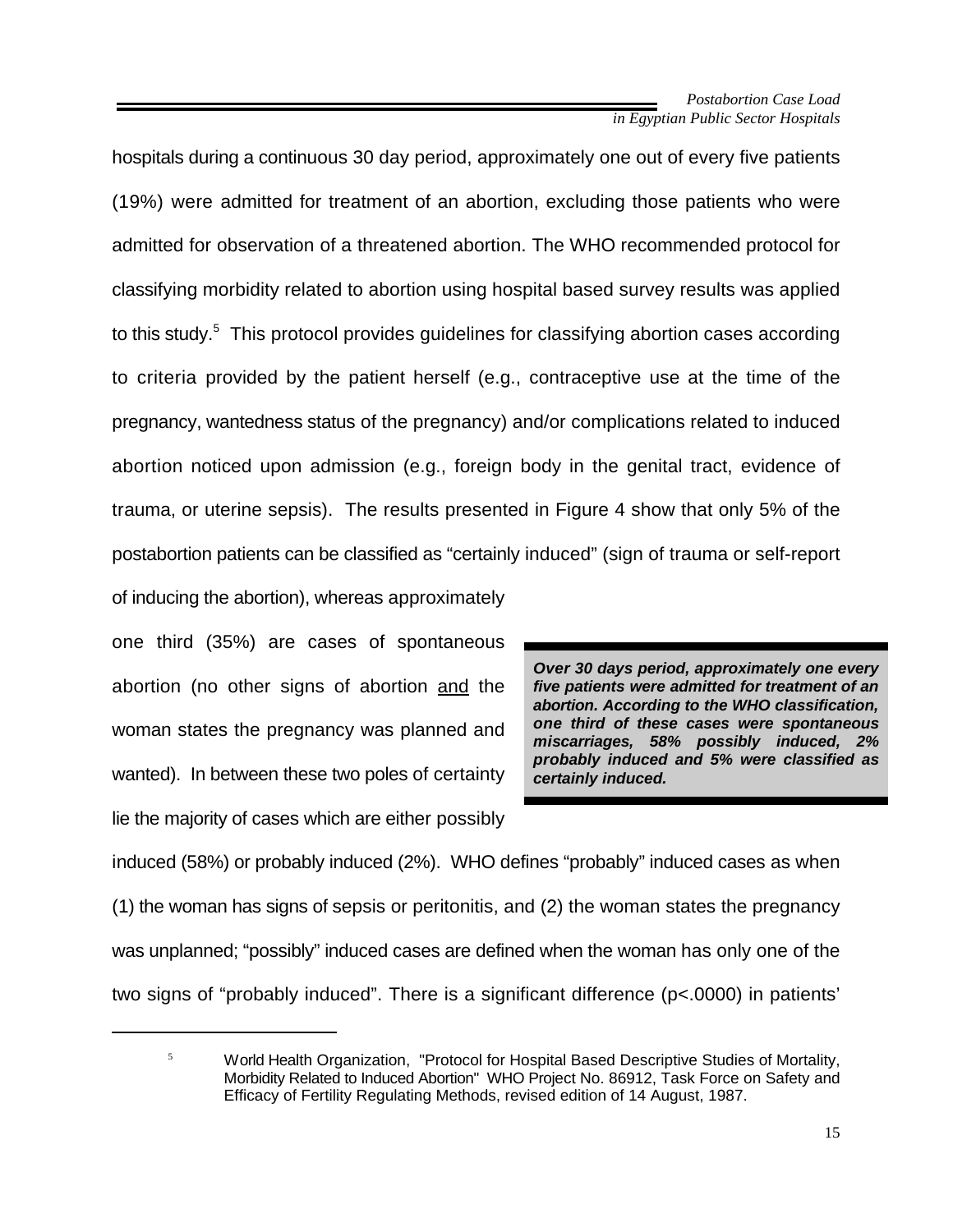hospitals during a continuous 30 day period, approximately one out of every five patients (19%) were admitted for treatment of an abortion, excluding those patients who were admitted for observation of a threatened abortion. The WHO recommended protocol for classifying morbidity related to abortion using hospital based survey results was applied to this study.<sup>5</sup> This protocol provides guidelines for classifying abortion cases according to criteria provided by the patient herself (e.g., contraceptive use at the time of the pregnancy, wantedness status of the pregnancy) and/or complications related to induced abortion noticed upon admission (e.g., foreign body in the genital tract, evidence of trauma, or uterine sepsis). The results presented in Figure 4 show that only 5% of the postabortion patients can be classified as "certainly induced" (sign of trauma or self-report of inducing the abortion), whereas approximately

one third (35%) are cases of spontaneous abortion (no other signs of abortion and the woman states the pregnancy was planned and wanted). In between these two poles of certainty lie the majority of cases which are either possibly

*Over 30 days period, approximately one every five patients were admitted for treatment of an abortion. According to the WHO classification, one third of these cases were spontaneous miscarriages, 58% possibly induced, 2% probably induced and 5% were classified as certainly induced.*

induced (58%) or probably induced (2%). WHO defines "probably" induced cases as when (1) the woman has signs of sepsis or peritonitis, and (2) the woman states the pregnancy was unplanned; "possibly" induced cases are defined when the woman has only one of the two signs of "probably induced". There is a significant difference (p<.0000) in patients'

 $5$  World Health Organization, "Protocol for Hospital Based Descriptive Studies of Mortality, Morbidity Related to Induced Abortion" WHO Project No. 86912, Task Force on Safety and Efficacy of Fertility Regulating Methods, revised edition of 14 August, 1987.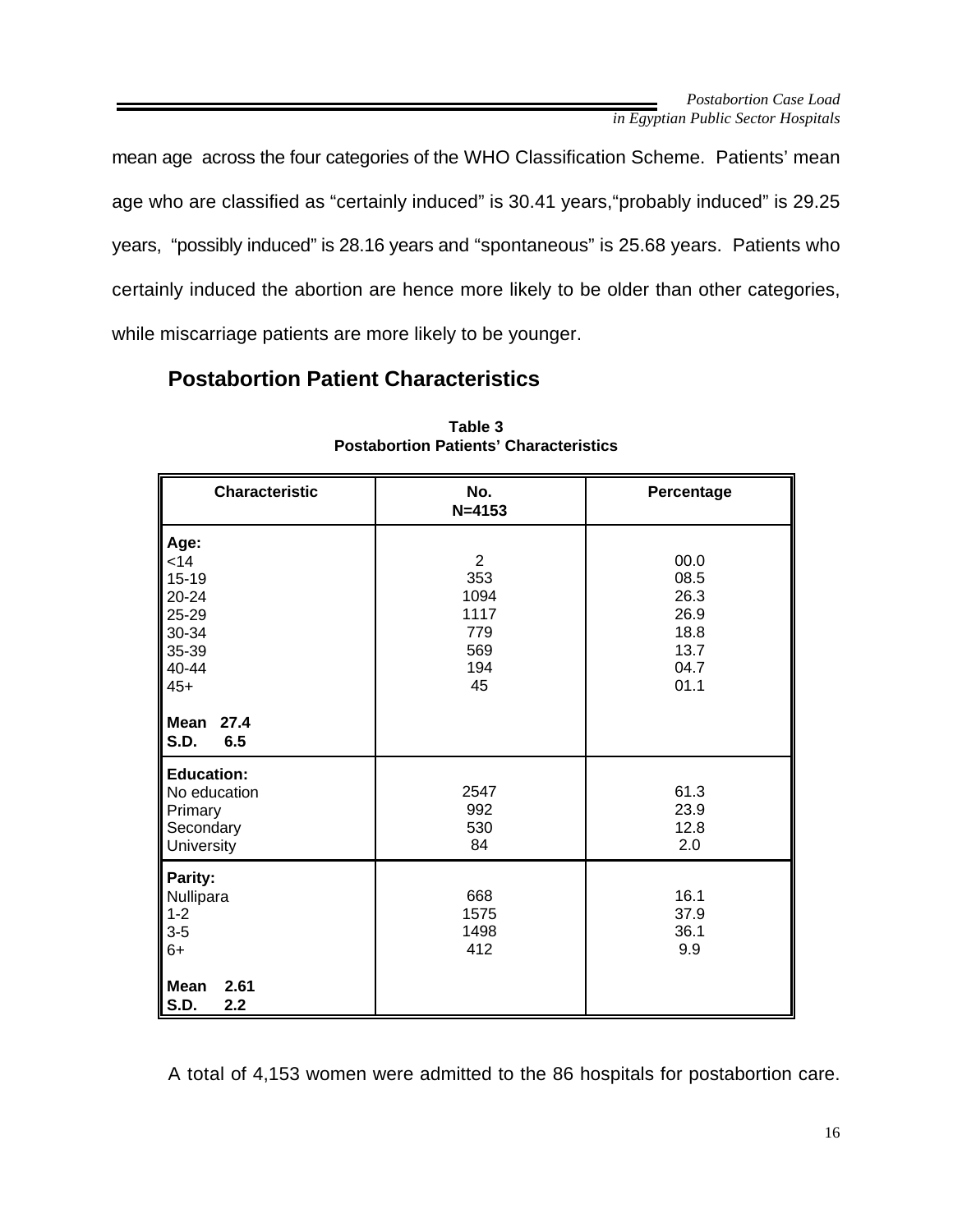mean age across the four categories of the WHO Classification Scheme. Patients' mean age who are classified as "certainly induced" is 30.41 years,"probably induced" is 29.25 years, "possibly induced" is 28.16 years and "spontaneous" is 25.68 years. Patients who certainly induced the abortion are hence more likely to be older than other categories, while miscarriage patients are more likely to be younger.

## **Postabortion Patient Characteristics**

| <b>Characteristic</b>                                                           | No.<br>$N = 4153$                                                | Percentage                                                   |  |
|---------------------------------------------------------------------------------|------------------------------------------------------------------|--------------------------------------------------------------|--|
| Age:<br>< 14<br>$15 - 19$<br>20-24<br>25-29<br>30-34<br>35-39<br>40-44<br>$45+$ | $\overline{2}$<br>353<br>1094<br>1117<br>779<br>569<br>194<br>45 | 00.0<br>08.5<br>26.3<br>26.9<br>18.8<br>13.7<br>04.7<br>01.1 |  |
| Mean<br>27.4<br>6.5<br><b>S.D.</b>                                              |                                                                  |                                                              |  |
| <b>Education:</b><br>No education<br>Primary<br>Secondary<br>University         | 2547<br>992<br>530<br>84                                         | 61.3<br>23.9<br>12.8<br>2.0                                  |  |
| Parity:<br>Nullipara<br>$1 - 2$<br>$3-5$<br>$6+$                                | 668<br>1575<br>1498<br>412                                       | 16.1<br>37.9<br>36.1<br>9.9                                  |  |
| <b>Mean</b><br>2.61<br><b>S.D.</b><br>2.2                                       |                                                                  |                                                              |  |

**Table 3 Postabortion Patients' Characteristics**

A total of 4,153 women were admitted to the 86 hospitals for postabortion care.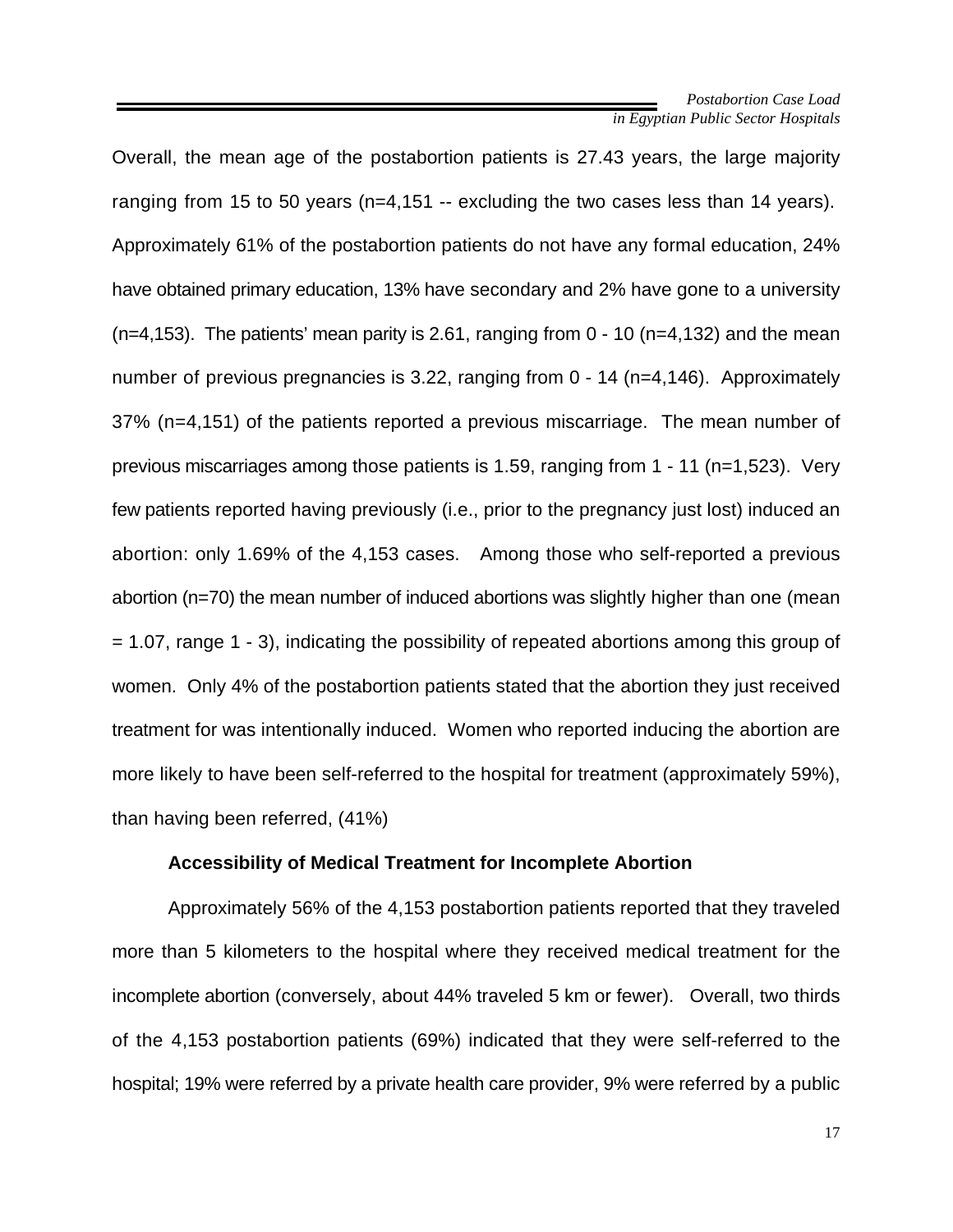Overall, the mean age of the postabortion patients is 27.43 years, the large majority ranging from 15 to 50 years (n=4,151 -- excluding the two cases less than 14 years). Approximately 61% of the postabortion patients do not have any formal education, 24% have obtained primary education, 13% have secondary and 2% have gone to a university  $(n=4,153)$ . The patients' mean parity is 2.61, ranging from  $0 - 10$  (n=4,132) and the mean number of previous pregnancies is 3.22, ranging from 0 - 14 (n=4,146). Approximately 37% (n=4,151) of the patients reported a previous miscarriage. The mean number of previous miscarriages among those patients is 1.59, ranging from 1 - 11 (n=1,523). Very few patients reported having previously (i.e., prior to the pregnancy just lost) induced an abortion: only 1.69% of the 4,153 cases. Among those who self-reported a previous abortion (n=70) the mean number of induced abortions was slightly higher than one (mean = 1.07, range 1 - 3), indicating the possibility of repeated abortions among this group of women. Only 4% of the postabortion patients stated that the abortion they just received treatment for was intentionally induced. Women who reported inducing the abortion are more likely to have been self-referred to the hospital for treatment (approximately 59%), than having been referred, (41%)

#### **Accessibility of Medical Treatment for Incomplete Abortion**

Approximately 56% of the 4,153 postabortion patients reported that they traveled more than 5 kilometers to the hospital where they received medical treatment for the incomplete abortion (conversely, about 44% traveled 5 km or fewer). Overall, two thirds of the 4,153 postabortion patients (69%) indicated that they were self-referred to the hospital; 19% were referred by a private health care provider, 9% were referred by a public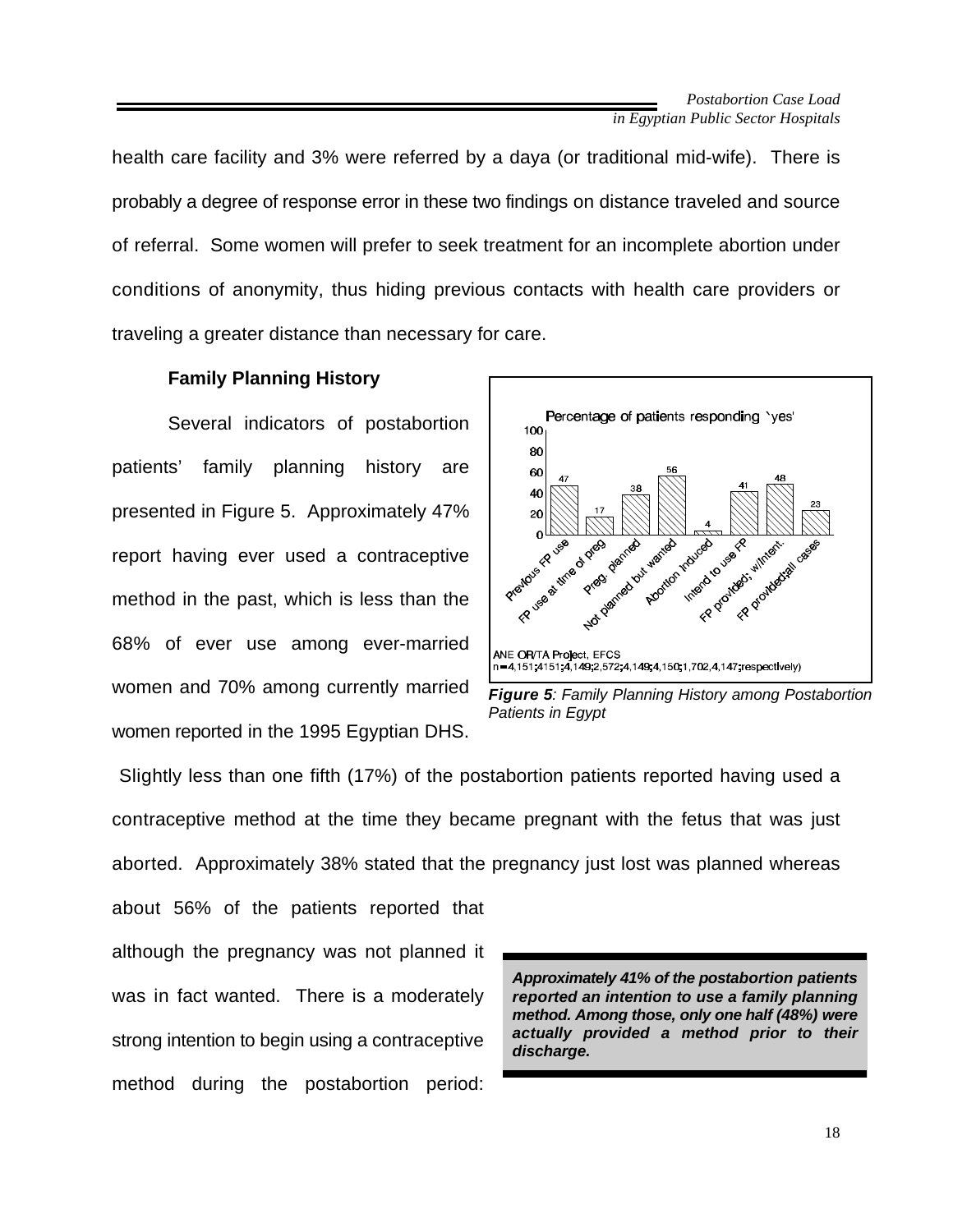health care facility and 3% were referred by a daya (or traditional mid-wife). There is probably a degree of response error in these two findings on distance traveled and source of referral. Some women will prefer to seek treatment for an incomplete abortion under conditions of anonymity, thus hiding previous contacts with health care providers or traveling a greater distance than necessary for care.

#### **Family Planning History**

Several indicators of postabortion patients' family planning history are presented in Figure 5. Approximately 47% report having ever used a contraceptive method in the past, which is less than the 68% of ever use among ever-married women and 70% among currently married women reported in the 1995 Egyptian DHS.





 Slightly less than one fifth (17%) of the postabortion patients reported having used a contraceptive method at the time they became pregnant with the fetus that was just aborted. Approximately 38% stated that the pregnancy just lost was planned whereas

about 56% of the patients reported that although the pregnancy was not planned it was in fact wanted. There is a moderately strong intention to begin using a contraceptive method during the postabortion period:

*Approximately 41% of the postabortion patients reported an intention to use a family planning method. Among those, only one half (48%) were actually provided a method prior to their discharge.*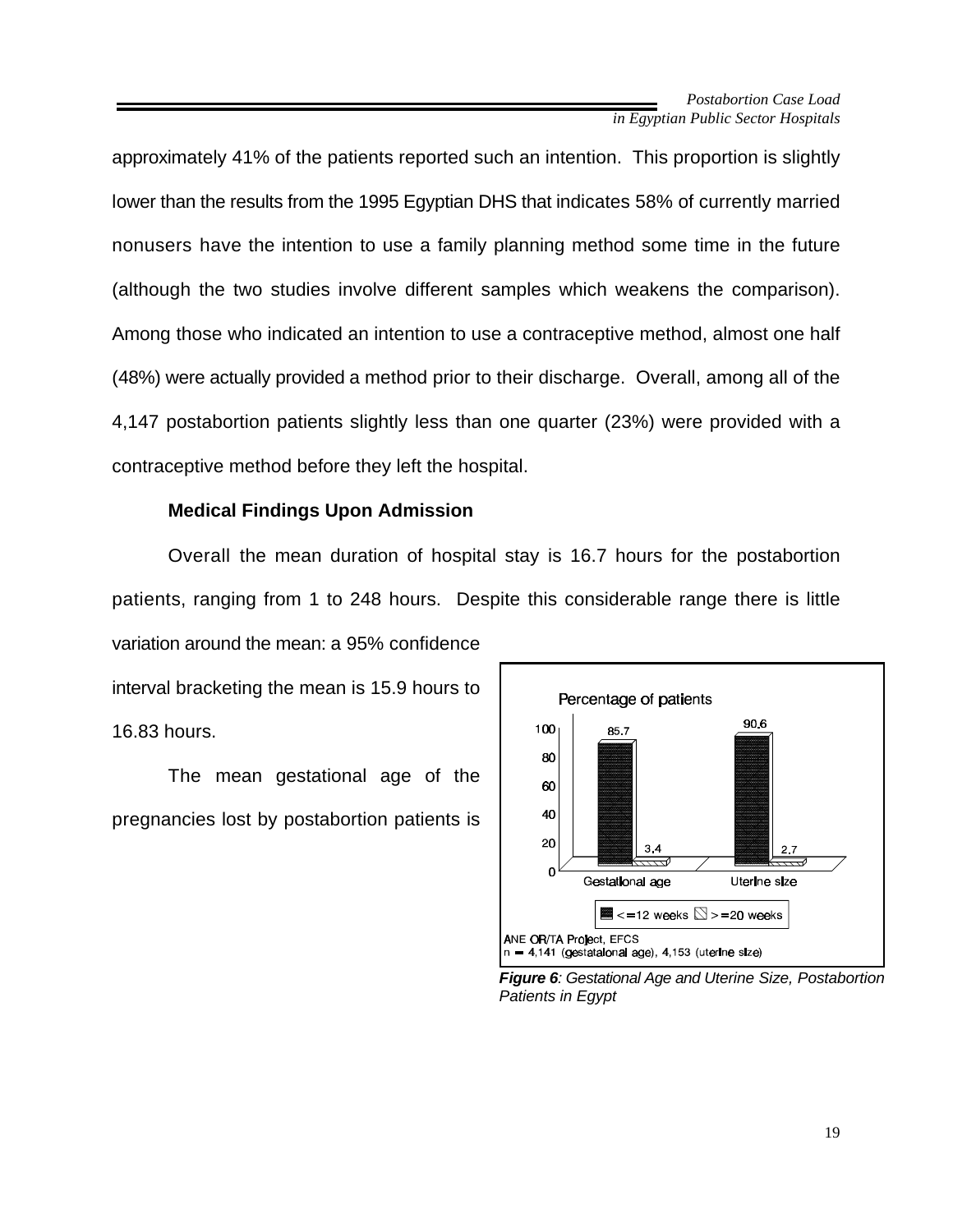approximately 41% of the patients reported such an intention. This proportion is slightly lower than the results from the 1995 Egyptian DHS that indicates 58% of currently married nonusers have the intention to use a family planning method some time in the future (although the two studies involve different samples which weakens the comparison). Among those who indicated an intention to use a contraceptive method, almost one half (48%) were actually provided a method prior to their discharge. Overall, among all of the 4,147 postabortion patients slightly less than one quarter (23%) were provided with a contraceptive method before they left the hospital.

#### **Medical Findings Upon Admission**

Overall the mean duration of hospital stay is 16.7 hours for the postabortion patients, ranging from 1 to 248 hours. Despite this considerable range there is little variation around the mean: a 95% confidence

interval bracketing the mean is 15.9 hours to 16.83 hours.

The mean gestational age of the pregnancies lost by postabortion patients is



*Figure 6: Gestational Age and Uterine Size, Postabortion Patients in Egypt*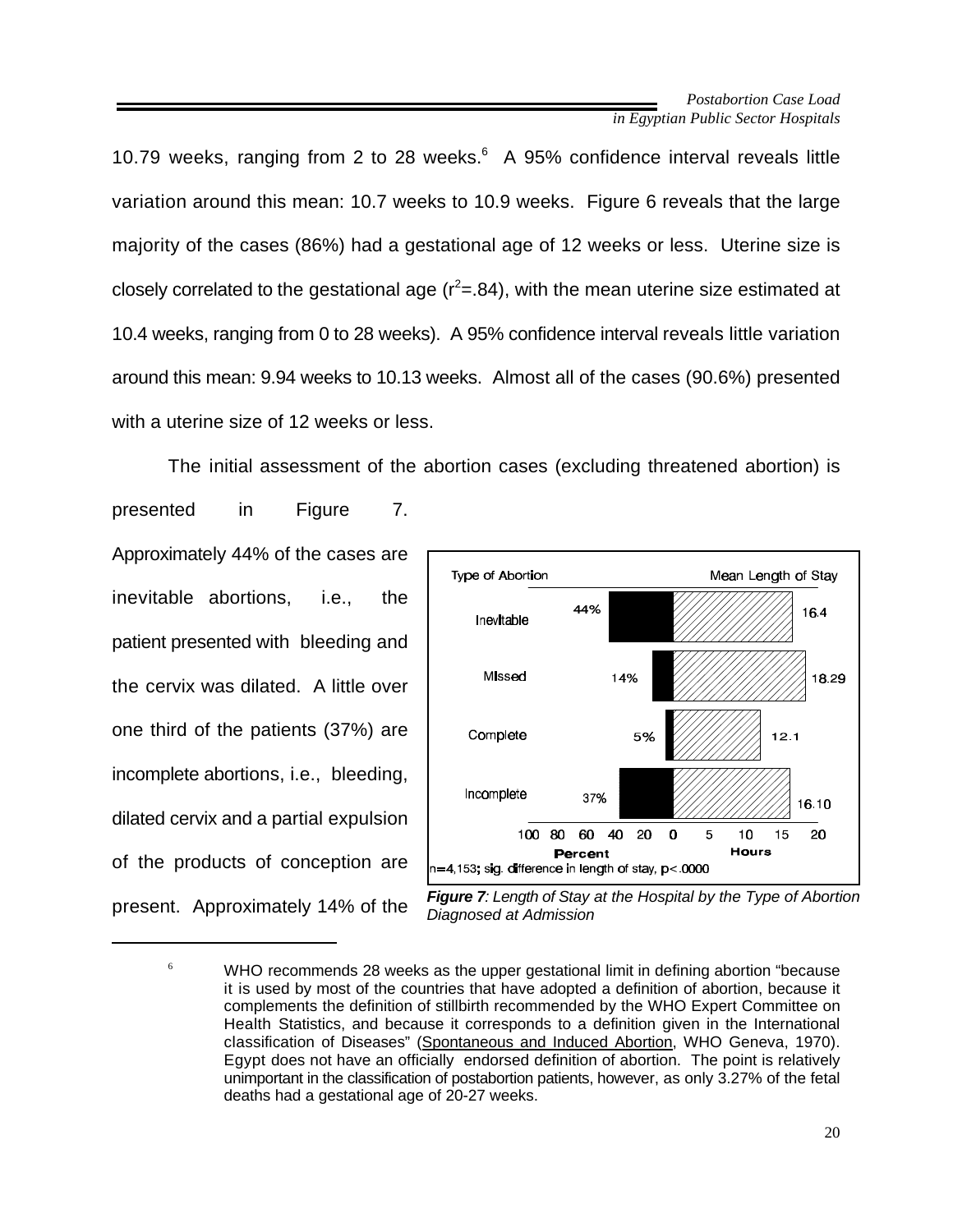10.79 weeks, ranging from 2 to 28 weeks.<sup>6</sup> A 95% confidence interval reveals little variation around this mean: 10.7 weeks to 10.9 weeks. Figure 6 reveals that the large majority of the cases (86%) had a gestational age of 12 weeks or less. Uterine size is closely correlated to the gestational age  $(r^2 = .84)$ , with the mean uterine size estimated at 10.4 weeks, ranging from 0 to 28 weeks). A 95% confidence interval reveals little variation around this mean: 9.94 weeks to 10.13 weeks. Almost all of the cases (90.6%) presented with a uterine size of 12 weeks or less.

The initial assessment of the abortion cases (excluding threatened abortion) is presented in Figure 7. Approximately 44% of the cases are Type of Abortion inevitable abortions, i.e., the Inevitable patient presented with bleeding and Missed the cervix was dilated. A little over one third of the patients (37%) are Complete incomplete abortions, i.e., bleeding, Incomplete dilated cervix and a partial expulsion of the products of conception are present. Approximately 14% of the



*Figure 7: Length of Stay at the Hospital by the Type of Abortion Diagnosed at Admission*

 $6 \times 10^6$  WHO recommends 28 weeks as the upper gestational limit in defining abortion "because it is used by most of the countries that have adopted a definition of abortion, because it complements the definition of stillbirth recommended by the WHO Expert Committee on Health Statistics, and because it corresponds to a definition given in the International classification of Diseases" (Spontaneous and Induced Abortion, WHO Geneva, 1970). Egypt does not have an officially endorsed definition of abortion. The point is relatively unimportant in the classification of postabortion patients, however, as only 3.27% of the fetal deaths had a gestational age of 20-27 weeks.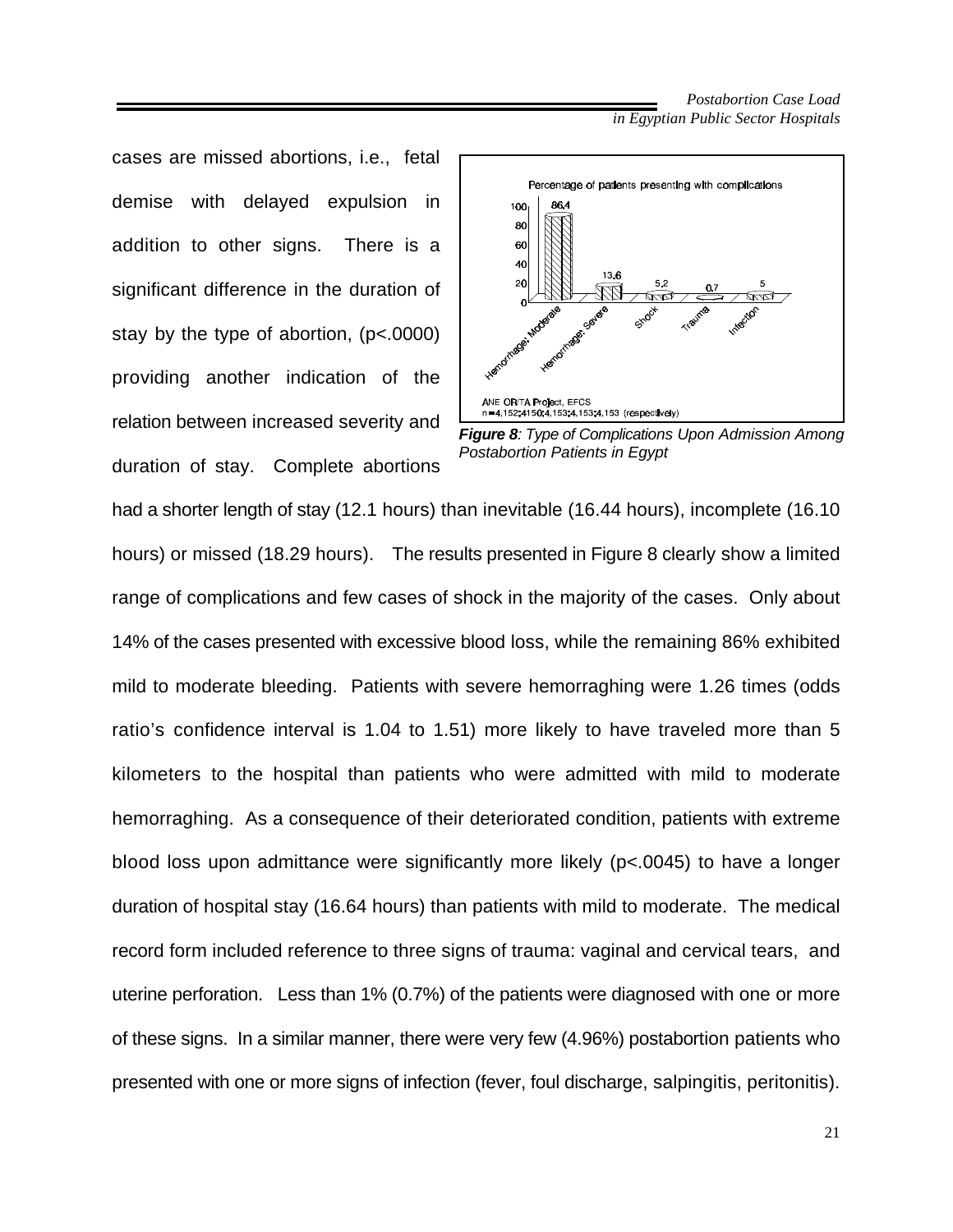cases are missed abortions, i.e., fetal demise with delayed expulsion in addition to other signs. There is a significant difference in the duration of stay by the type of abortion, (p<.0000) providing another indication of the relation between increased severity and duration of stay. Complete abortions





had a shorter length of stay (12.1 hours) than inevitable (16.44 hours), incomplete (16.10 hours) or missed (18.29 hours). The results presented in Figure 8 clearly show a limited range of complications and few cases of shock in the majority of the cases. Only about 14% of the cases presented with excessive blood loss, while the remaining 86% exhibited mild to moderate bleeding. Patients with severe hemorraghing were 1.26 times (odds ratio's confidence interval is 1.04 to 1.51) more likely to have traveled more than 5 kilometers to the hospital than patients who were admitted with mild to moderate hemorraghing. As a consequence of their deteriorated condition, patients with extreme blood loss upon admittance were significantly more likely (p<.0045) to have a longer duration of hospital stay (16.64 hours) than patients with mild to moderate. The medical record form included reference to three signs of trauma: vaginal and cervical tears, and uterine perforation. Less than 1% (0.7%) of the patients were diagnosed with one or more of these signs. In a similar manner, there were very few (4.96%) postabortion patients who presented with one or more signs of infection (fever, foul discharge, salpingitis, peritonitis).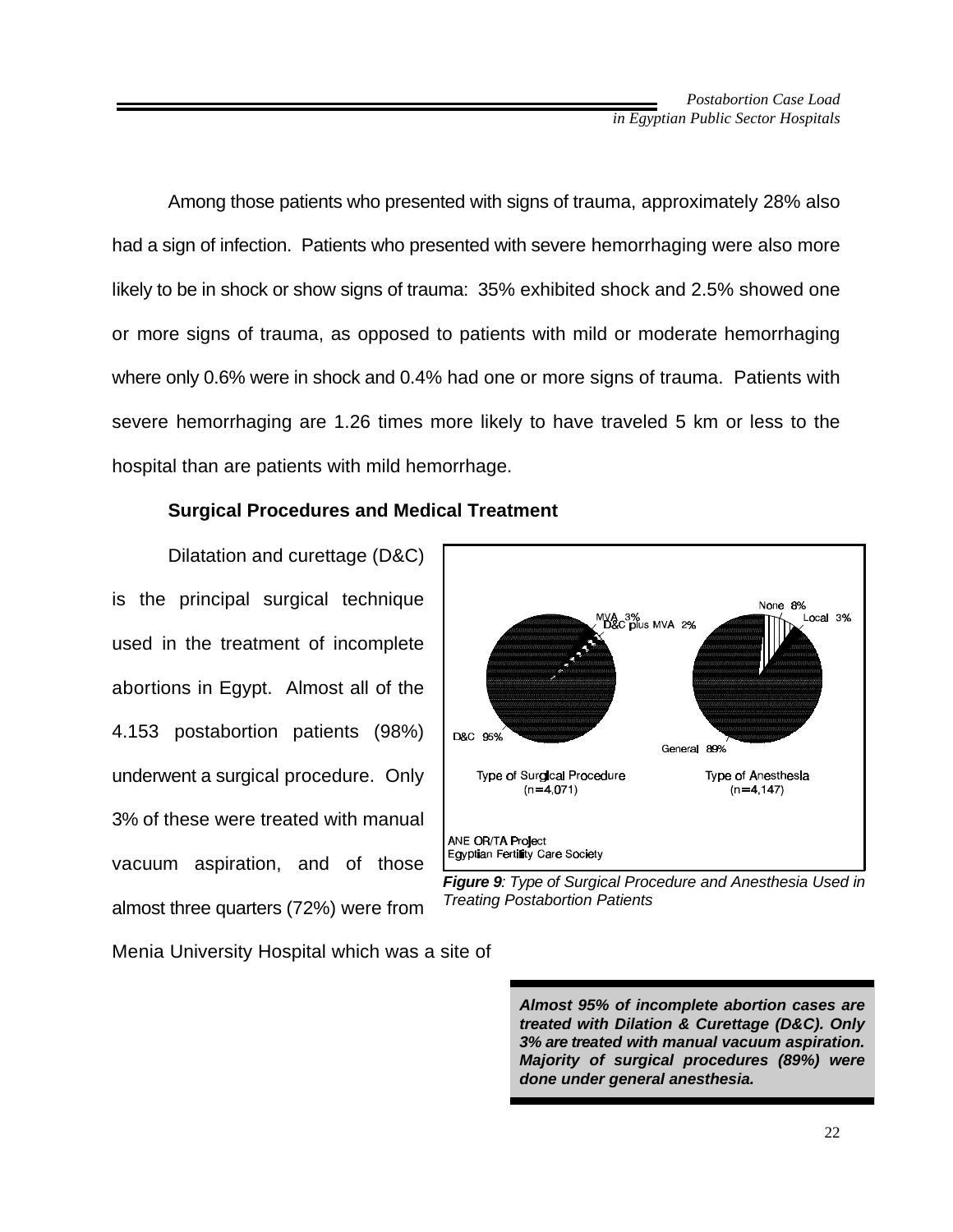Among those patients who presented with signs of trauma, approximately 28% also had a sign of infection. Patients who presented with severe hemorrhaging were also more likely to be in shock or show signs of trauma: 35% exhibited shock and 2.5% showed one or more signs of trauma, as opposed to patients with mild or moderate hemorrhaging where only 0.6% were in shock and 0.4% had one or more signs of trauma. Patients with severe hemorrhaging are 1.26 times more likely to have traveled 5 km or less to the hospital than are patients with mild hemorrhage.

#### **Surgical Procedures and Medical Treatment**

Dilatation and curettage (D&C) is the principal surgical technique used in the treatment of incomplete abortions in Egypt. Almost all of the 4.153 postabortion patients (98%) underwent a surgical procedure. Only 3% of these were treated with manual vacuum aspiration, and of those almost three quarters (72%) were from

None 8% Local 3% VA 3%<br>D&C plus MVA 2% D&C 95% General 89% Type of Surgical Procedure Type of Anesthesia  $(n=4,071)$  $(n=4, 147)$ ANE OR/TA Project Egyptian Fertility Care Society



Menia University Hospital which was a site of

*Almost 95% of incomplete abortion cases are treated with Dilation & Curettage (D&C). Only 3% are treated with manual vacuum aspiration. Majority of surgical procedures (89%) were done under general anesthesia.*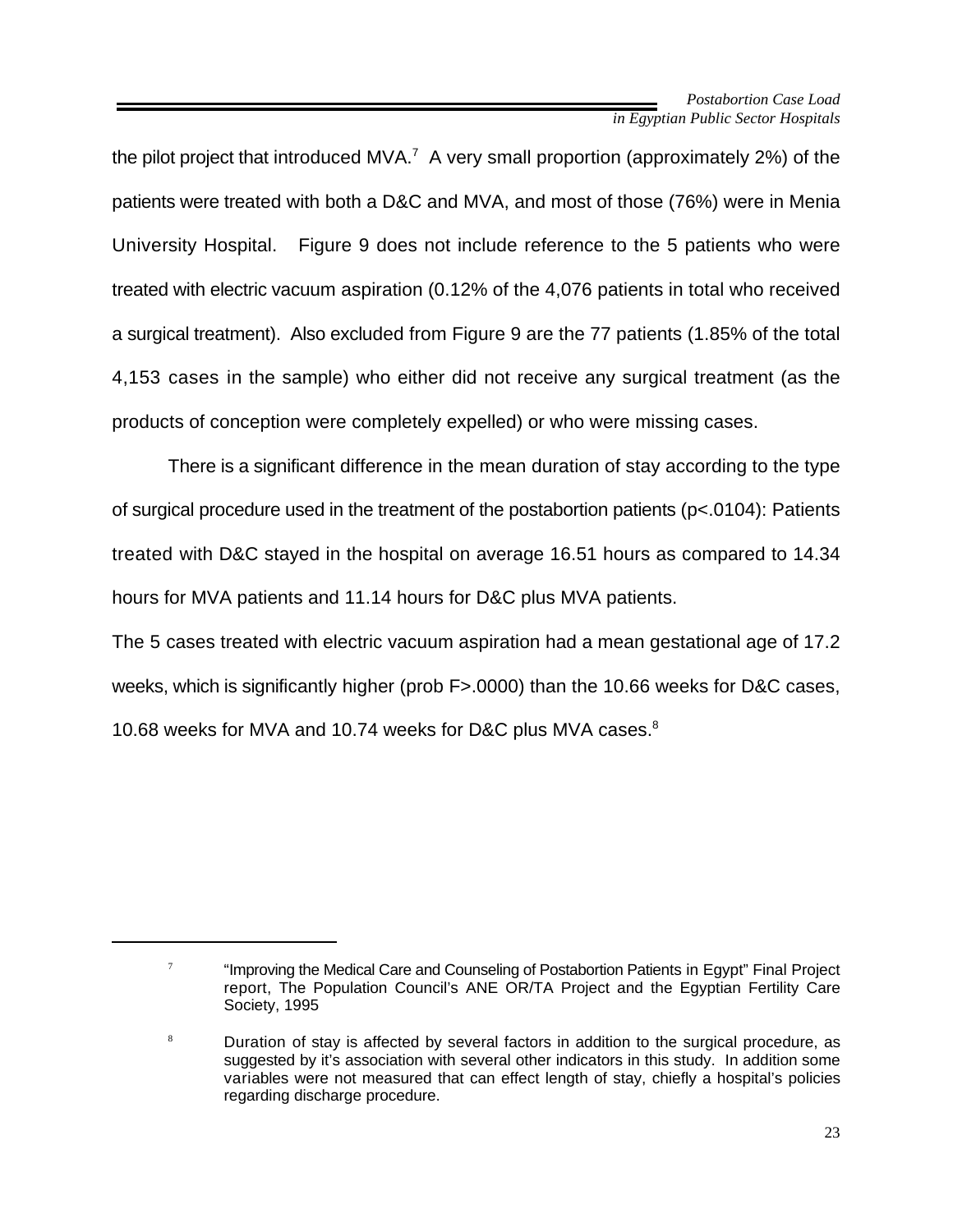the pilot project that introduced MVA.<sup>7</sup> A very small proportion (approximately 2%) of the patients were treated with both a D&C and MVA, and most of those (76%) were in Menia University Hospital. Figure 9 does not include reference to the 5 patients who were treated with electric vacuum aspiration (0.12% of the 4,076 patients in total who received a surgical treatment). Also excluded from Figure 9 are the 77 patients (1.85% of the total 4,153 cases in the sample) who either did not receive any surgical treatment (as the products of conception were completely expelled) or who were missing cases.

There is a significant difference in the mean duration of stay according to the type of surgical procedure used in the treatment of the postabortion patients (p<.0104): Patients treated with D&C stayed in the hospital on average 16.51 hours as compared to 14.34 hours for MVA patients and 11.14 hours for D&C plus MVA patients.

The 5 cases treated with electric vacuum aspiration had a mean gestational age of 17.2 weeks, which is significantly higher (prob F>.0000) than the 10.66 weeks for D&C cases, 10.68 weeks for MVA and 10.74 weeks for D&C plus MVA cases.<sup>8</sup>

 $\frac{1}{10}$  "Improving the Medical Care and Counseling of Postabortion Patients in Egypt" Final Project report, The Population Council's ANE OR/TA Project and the Egyptian Fertility Care Society, 1995

Duration of stay is affected by several factors in addition to the surgical procedure, as 8 suggested by it's association with several other indicators in this study. In addition some variables were not measured that can effect length of stay, chiefly a hospital's policies regarding discharge procedure.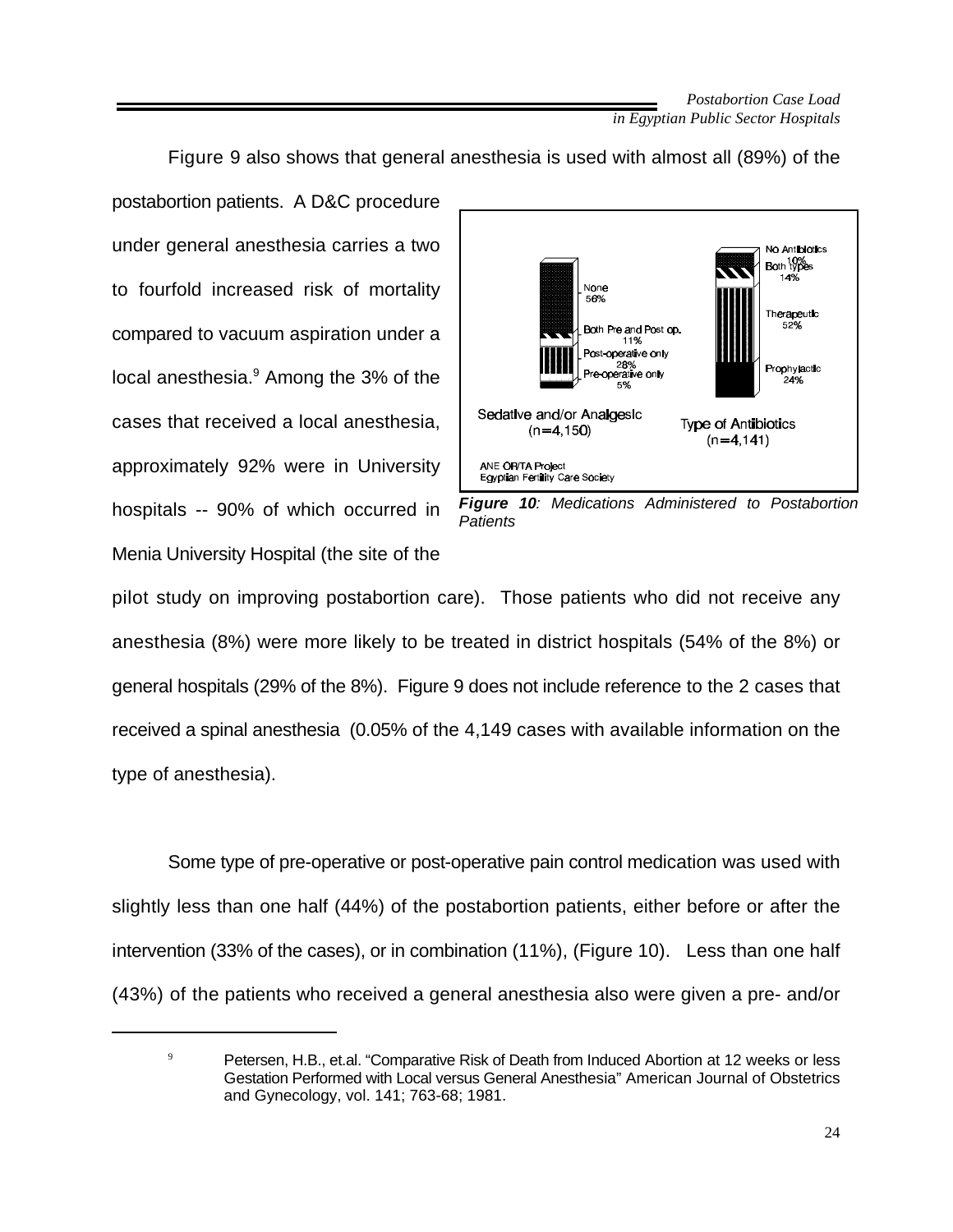Figure 9 also shows that general anesthesia is used with almost all (89%) of the

postabortion patients. A D&C procedure under general anesthesia carries a two to fourfold increased risk of mortality compared to vacuum aspiration under a local anesthesia. $9$  Among the 3% of the cases that received a local anesthesia, approximately 92% were in University hospitals -- 90% of which occurred in Menia University Hospital (the site of the



*Figure 10: Medications Administered to Postabortion Patients*

pilot study on improving postabortion care). Those patients who did not receive any anesthesia (8%) were more likely to be treated in district hospitals (54% of the 8%) or general hospitals (29% of the 8%). Figure 9 does not include reference to the 2 cases that received a spinal anesthesia (0.05% of the 4,149 cases with available information on the type of anesthesia).

Some type of pre-operative or post-operative pain control medication was used with slightly less than one half (44%) of the postabortion patients, either before or after the intervention (33% of the cases), or in combination (11%), (Figure 10). Less than one half (43%) of the patients who received a general anesthesia also were given a pre- and/or

 $P^9$  Petersen, H.B., et.al. "Comparative Risk of Death from Induced Abortion at 12 weeks or less Gestation Performed with Local versus General Anesthesia" American Journal of Obstetrics and Gynecology, vol. 141; 763-68; 1981.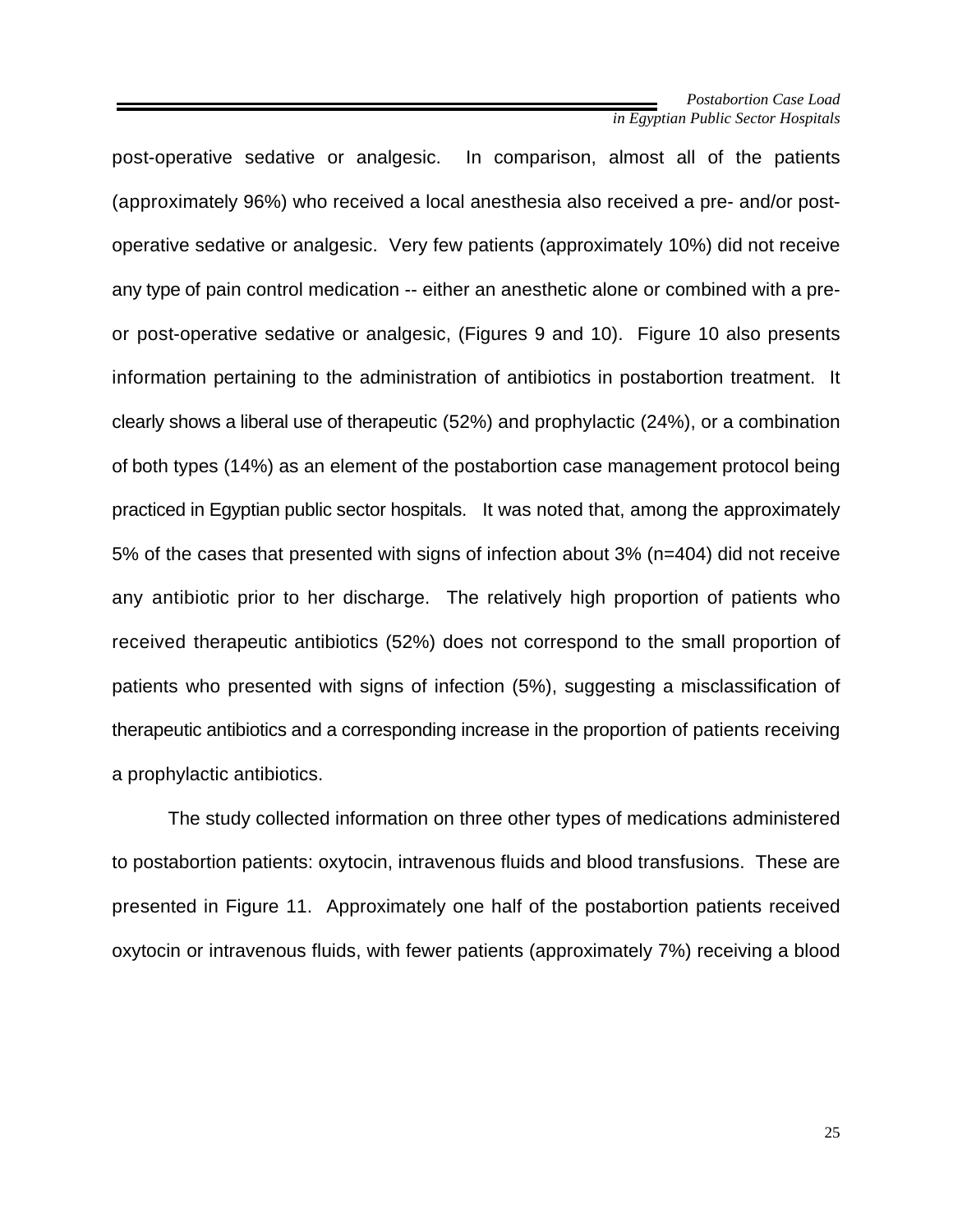post-operative sedative or analgesic. In comparison, almost all of the patients (approximately 96%) who received a local anesthesia also received a pre- and/or postoperative sedative or analgesic. Very few patients (approximately 10%) did not receive any type of pain control medication -- either an anesthetic alone or combined with a preor post-operative sedative or analgesic, (Figures 9 and 10). Figure 10 also presents information pertaining to the administration of antibiotics in postabortion treatment. It clearly shows a liberal use of therapeutic (52%) and prophylactic (24%), or a combination of both types (14%) as an element of the postabortion case management protocol being practiced in Egyptian public sector hospitals. It was noted that, among the approximately 5% of the cases that presented with signs of infection about 3% (n=404) did not receive any antibiotic prior to her discharge. The relatively high proportion of patients who received therapeutic antibiotics (52%) does not correspond to the small proportion of patients who presented with signs of infection (5%), suggesting a misclassification of therapeutic antibiotics and a corresponding increase in the proportion of patients receiving a prophylactic antibiotics.

The study collected information on three other types of medications administered to postabortion patients: oxytocin, intravenous fluids and blood transfusions. These are presented in Figure 11. Approximately one half of the postabortion patients received oxytocin or intravenous fluids, with fewer patients (approximately 7%) receiving a blood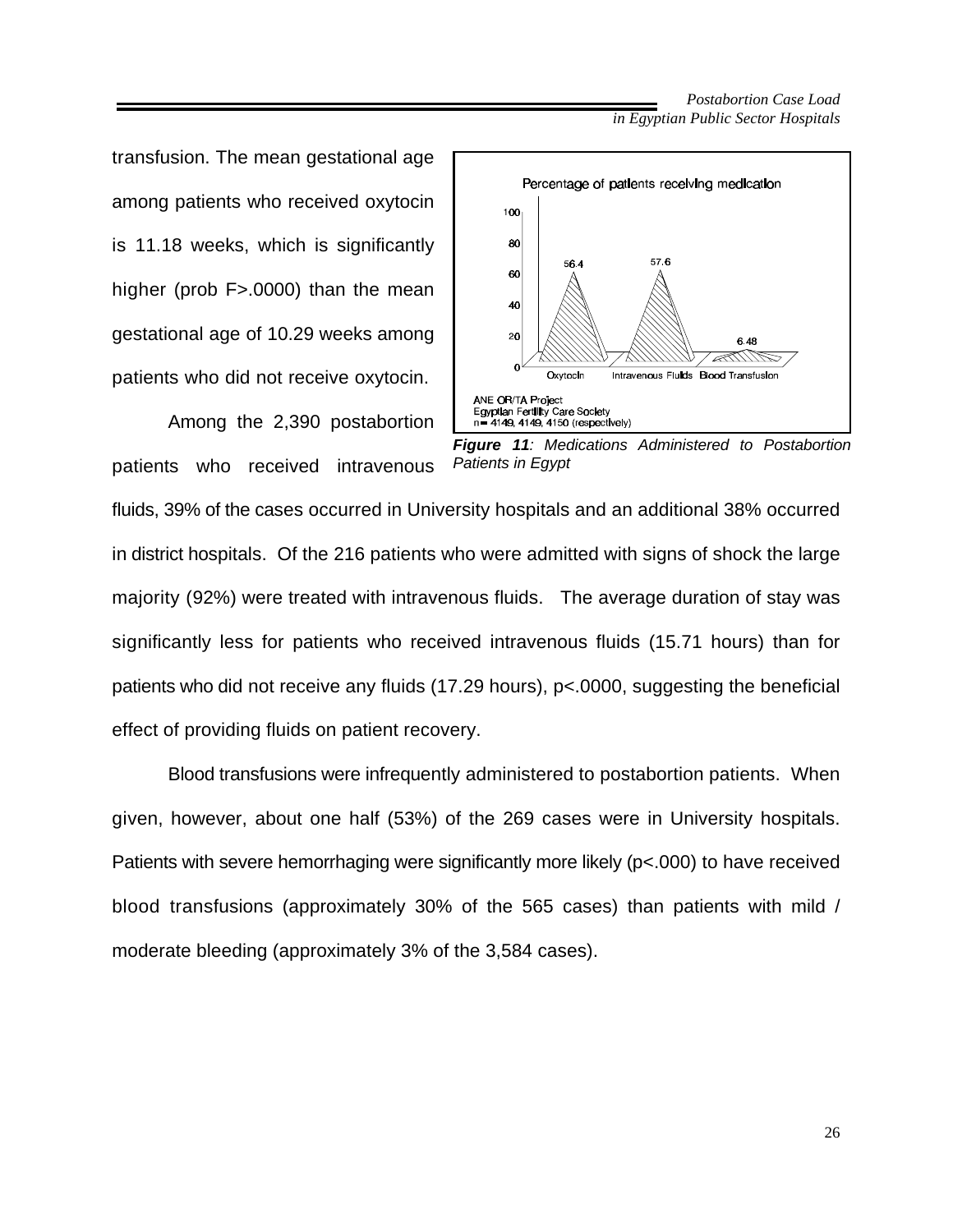transfusion. The mean gestational age among patients who received oxytocin is 11.18 weeks, which is significantly higher (prob F>.0000) than the mean gestational age of 10.29 weeks among patients who did not receive oxytocin.

Among the 2,390 postabortion patients who received intravenous



*Figure 11: Medications Administered to Postabortion Patients in Egypt*

fluids, 39% of the cases occurred in University hospitals and an additional 38% occurred in district hospitals. Of the 216 patients who were admitted with signs of shock the large majority (92%) were treated with intravenous fluids. The average duration of stay was significantly less for patients who received intravenous fluids (15.71 hours) than for patients who did not receive any fluids (17.29 hours), p<.0000, suggesting the beneficial effect of providing fluids on patient recovery.

Blood transfusions were infrequently administered to postabortion patients. When given, however, about one half (53%) of the 269 cases were in University hospitals. Patients with severe hemorrhaging were significantly more likely (p<.000) to have received blood transfusions (approximately 30% of the 565 cases) than patients with mild / moderate bleeding (approximately 3% of the 3,584 cases).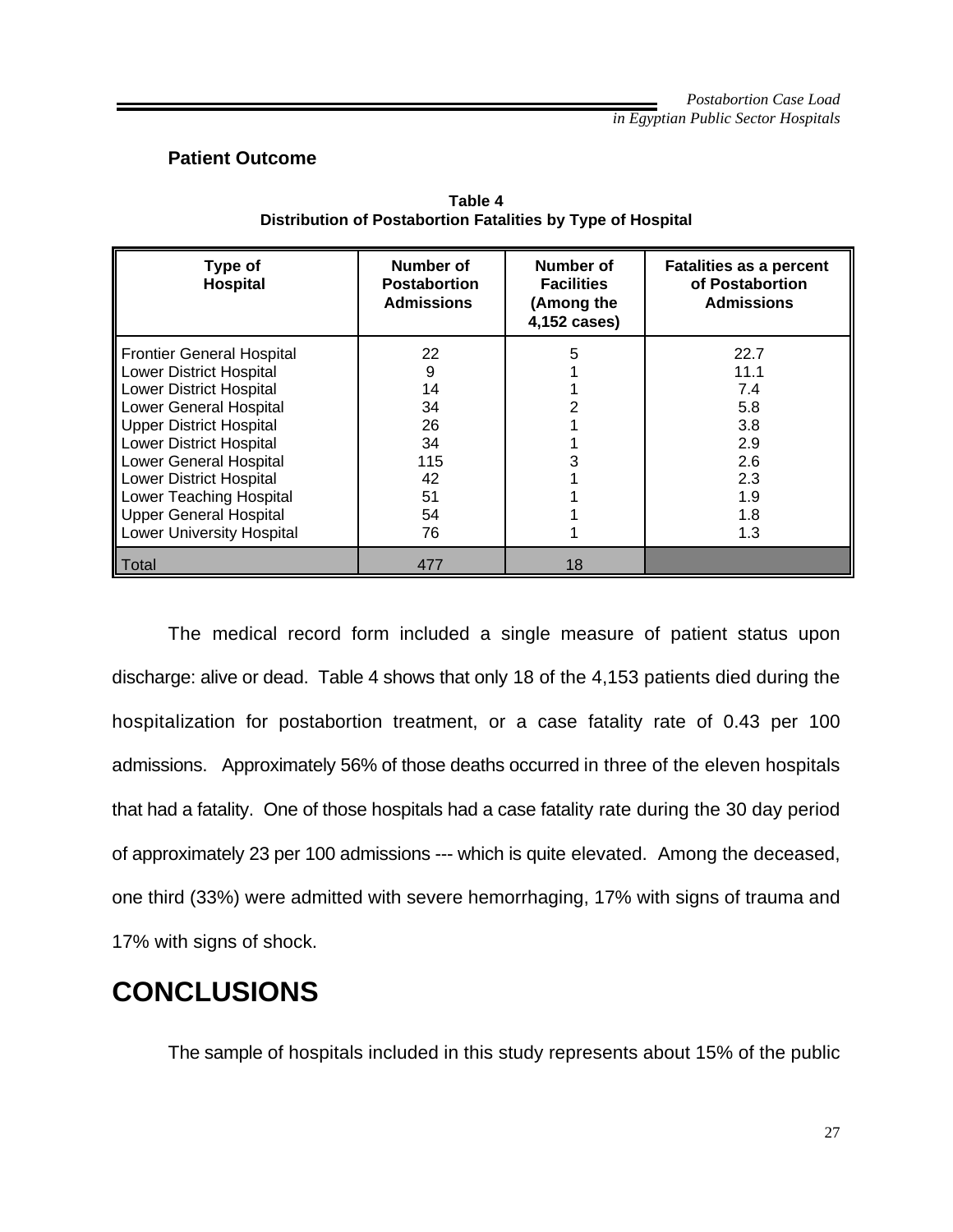#### **Patient Outcome**

| Type of<br>Hospital              | Number of<br><b>Postabortion</b><br><b>Admissions</b> | Number of<br><b>Facilities</b><br>(Among the<br>4,152 cases) | <b>Fatalities as a percent</b><br>of Postabortion<br><b>Admissions</b> |
|----------------------------------|-------------------------------------------------------|--------------------------------------------------------------|------------------------------------------------------------------------|
| <b>Frontier General Hospital</b> | 22                                                    | 5                                                            | 22.7                                                                   |
| <b>Lower District Hospital</b>   | 9                                                     |                                                              | 11.1                                                                   |
| <b>Lower District Hospital</b>   | 14                                                    |                                                              | 7.4                                                                    |
| <b>Lower General Hospital</b>    | 34                                                    |                                                              | 5.8                                                                    |
| <b>Upper District Hospital</b>   | 26                                                    |                                                              | 3.8                                                                    |
| <b>Lower District Hospital</b>   | 34                                                    |                                                              | 2.9                                                                    |
| <b>Lower General Hospital</b>    | 115                                                   |                                                              | 2.6                                                                    |
| <b>Lower District Hospital</b>   | 42                                                    |                                                              | 2.3                                                                    |
| <b>Lower Teaching Hospital</b>   | 51                                                    |                                                              | 1.9                                                                    |
| <b>Upper General Hospital</b>    | 54                                                    |                                                              | 1.8                                                                    |
| <b>Lower University Hospital</b> | 76                                                    |                                                              | 1.3                                                                    |
| Total                            | 477                                                   | 18                                                           |                                                                        |

**Table 4 Distribution of Postabortion Fatalities by Type of Hospital**

The medical record form included a single measure of patient status upon discharge: alive or dead. Table 4 shows that only 18 of the 4,153 patients died during the hospitalization for postabortion treatment, or a case fatality rate of 0.43 per 100 admissions. Approximately 56% of those deaths occurred in three of the eleven hospitals that had a fatality. One of those hospitals had a case fatality rate during the 30 day period of approximately 23 per 100 admissions --- which is quite elevated. Among the deceased, one third (33%) were admitted with severe hemorrhaging, 17% with signs of trauma and 17% with signs of shock.

## **CONCLUSIONS**

The sample of hospitals included in this study represents about 15% of the public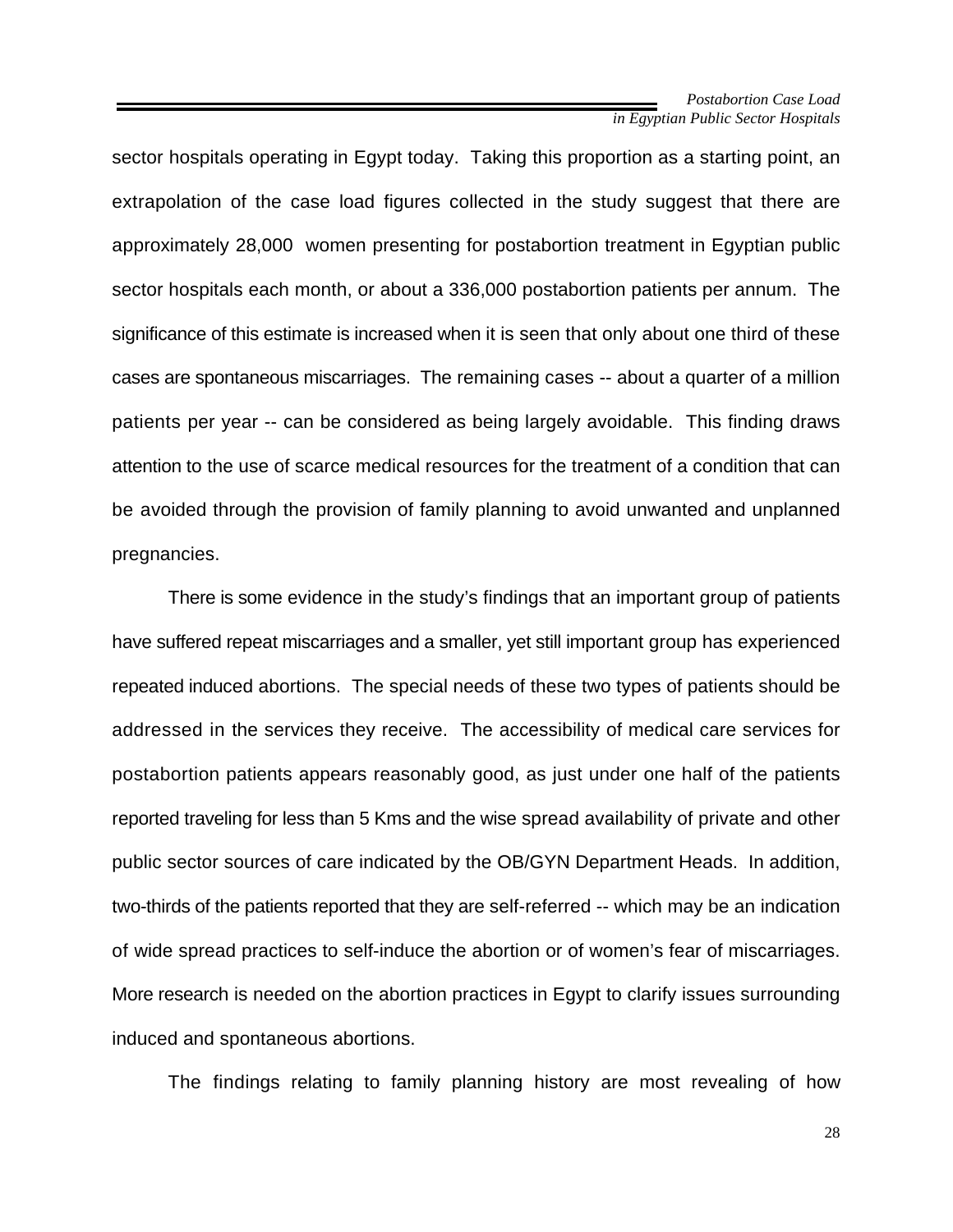sector hospitals operating in Egypt today. Taking this proportion as a starting point, an extrapolation of the case load figures collected in the study suggest that there are approximately 28,000 women presenting for postabortion treatment in Egyptian public sector hospitals each month, or about a 336,000 postabortion patients per annum. The significance of this estimate is increased when it is seen that only about one third of these cases are spontaneous miscarriages. The remaining cases -- about a quarter of a million patients per year -- can be considered as being largely avoidable. This finding draws attention to the use of scarce medical resources for the treatment of a condition that can be avoided through the provision of family planning to avoid unwanted and unplanned pregnancies.

There is some evidence in the study's findings that an important group of patients have suffered repeat miscarriages and a smaller, yet still important group has experienced repeated induced abortions. The special needs of these two types of patients should be addressed in the services they receive. The accessibility of medical care services for postabortion patients appears reasonably good, as just under one half of the patients reported traveling for less than 5 Kms and the wise spread availability of private and other public sector sources of care indicated by the OB/GYN Department Heads. In addition, two-thirds of the patients reported that they are self-referred -- which may be an indication of wide spread practices to self-induce the abortion or of women's fear of miscarriages. More research is needed on the abortion practices in Egypt to clarify issues surrounding induced and spontaneous abortions.

The findings relating to family planning history are most revealing of how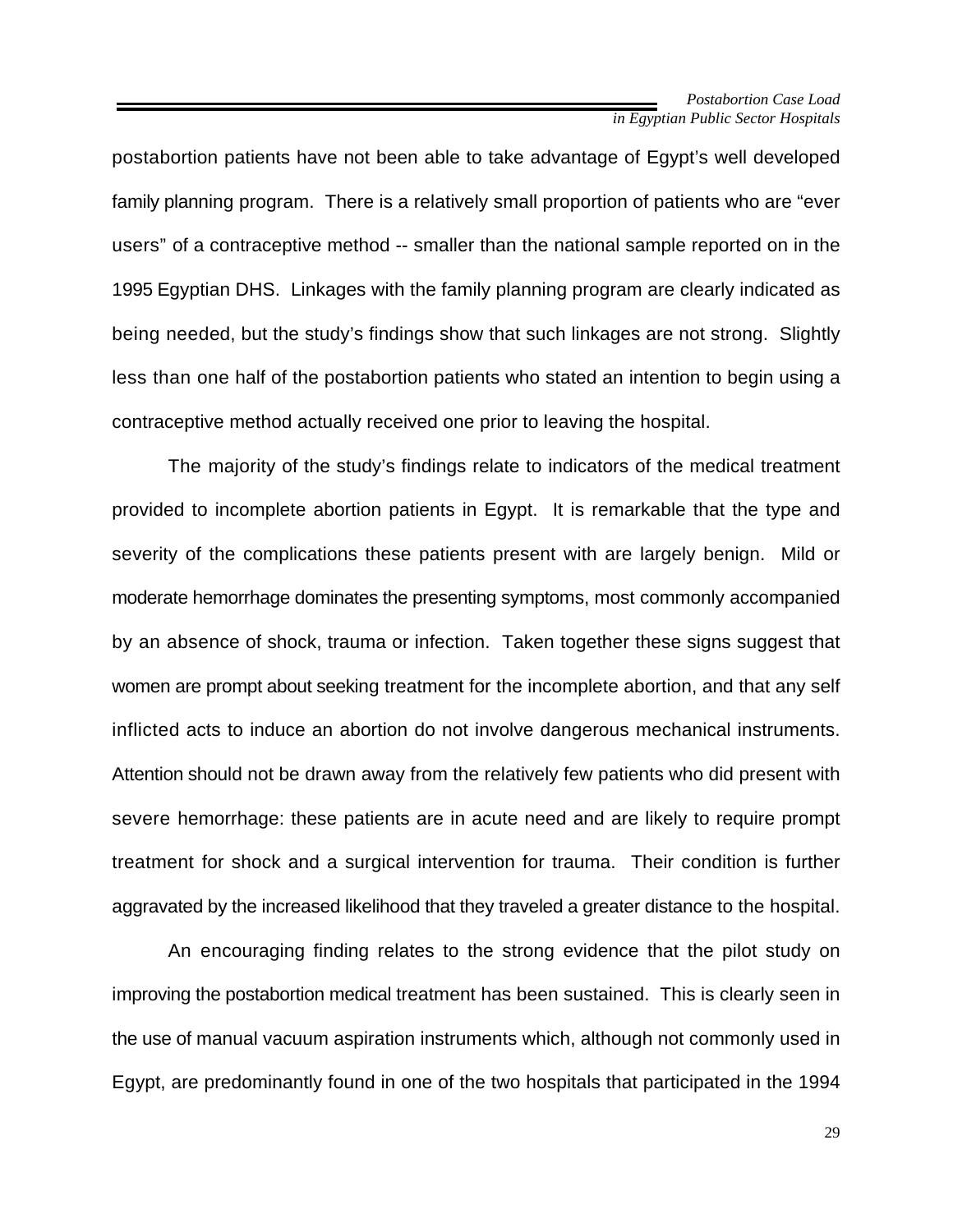postabortion patients have not been able to take advantage of Egypt's well developed family planning program. There is a relatively small proportion of patients who are "ever users" of a contraceptive method -- smaller than the national sample reported on in the 1995 Egyptian DHS. Linkages with the family planning program are clearly indicated as being needed, but the study's findings show that such linkages are not strong. Slightly less than one half of the postabortion patients who stated an intention to begin using a contraceptive method actually received one prior to leaving the hospital.

The majority of the study's findings relate to indicators of the medical treatment provided to incomplete abortion patients in Egypt. It is remarkable that the type and severity of the complications these patients present with are largely benign. Mild or moderate hemorrhage dominates the presenting symptoms, most commonly accompanied by an absence of shock, trauma or infection. Taken together these signs suggest that women are prompt about seeking treatment for the incomplete abortion, and that any self inflicted acts to induce an abortion do not involve dangerous mechanical instruments. Attention should not be drawn away from the relatively few patients who did present with severe hemorrhage: these patients are in acute need and are likely to require prompt treatment for shock and a surgical intervention for trauma. Their condition is further aggravated by the increased likelihood that they traveled a greater distance to the hospital.

An encouraging finding relates to the strong evidence that the pilot study on improving the postabortion medical treatment has been sustained. This is clearly seen in the use of manual vacuum aspiration instruments which, although not commonly used in Egypt, are predominantly found in one of the two hospitals that participated in the 1994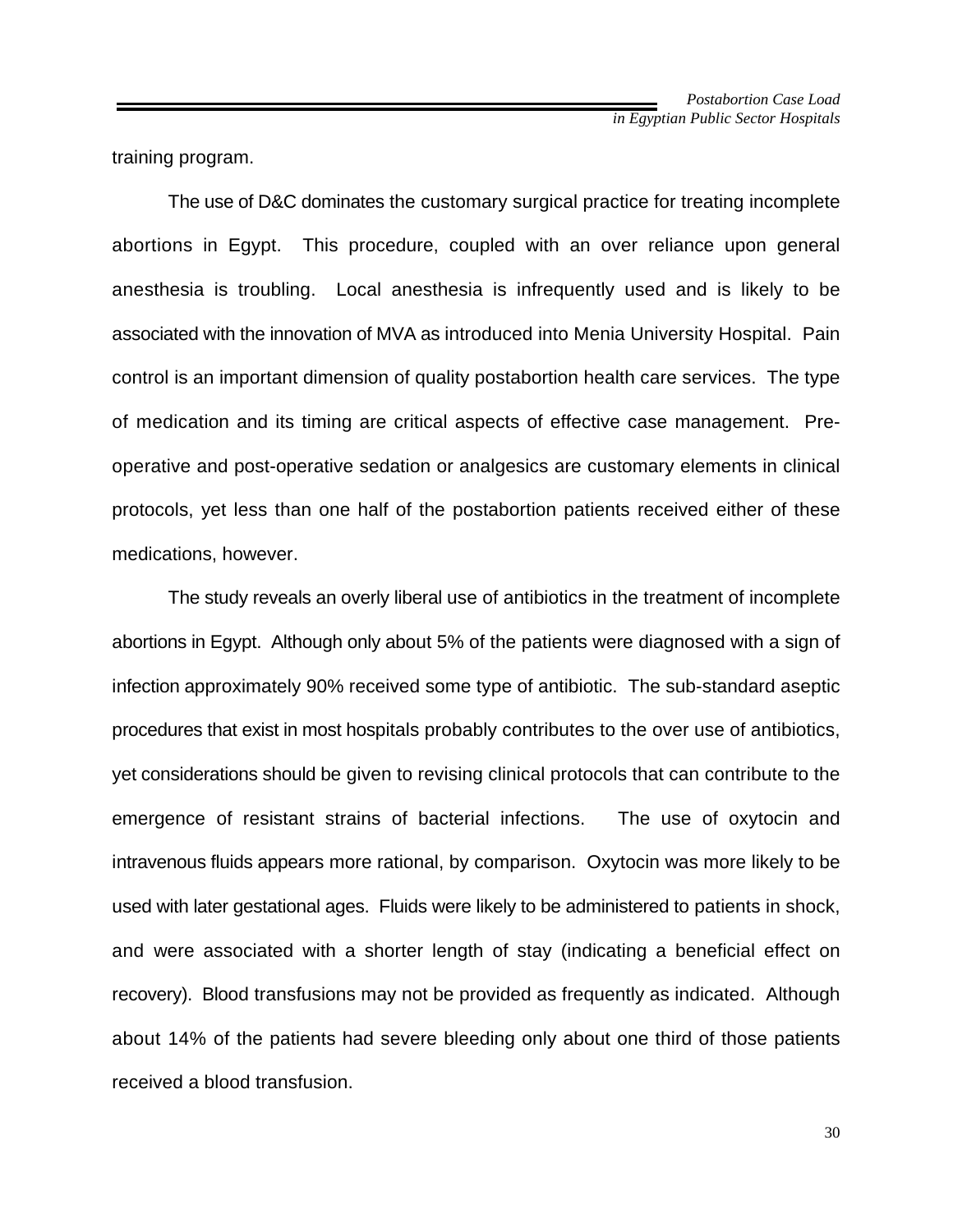training program.

The use of D&C dominates the customary surgical practice for treating incomplete abortions in Egypt. This procedure, coupled with an over reliance upon general anesthesia is troubling. Local anesthesia is infrequently used and is likely to be associated with the innovation of MVA as introduced into Menia University Hospital. Pain control is an important dimension of quality postabortion health care services. The type of medication and its timing are critical aspects of effective case management. Preoperative and post-operative sedation or analgesics are customary elements in clinical protocols, yet less than one half of the postabortion patients received either of these medications, however.

The study reveals an overly liberal use of antibiotics in the treatment of incomplete abortions in Egypt. Although only about 5% of the patients were diagnosed with a sign of infection approximately 90% received some type of antibiotic. The sub-standard aseptic procedures that exist in most hospitals probably contributes to the over use of antibiotics, yet considerations should be given to revising clinical protocols that can contribute to the emergence of resistant strains of bacterial infections. The use of oxytocin and intravenous fluids appears more rational, by comparison. Oxytocin was more likely to be used with later gestational ages. Fluids were likely to be administered to patients in shock, and were associated with a shorter length of stay (indicating a beneficial effect on recovery). Blood transfusions may not be provided as frequently as indicated. Although about 14% of the patients had severe bleeding only about one third of those patients received a blood transfusion.

30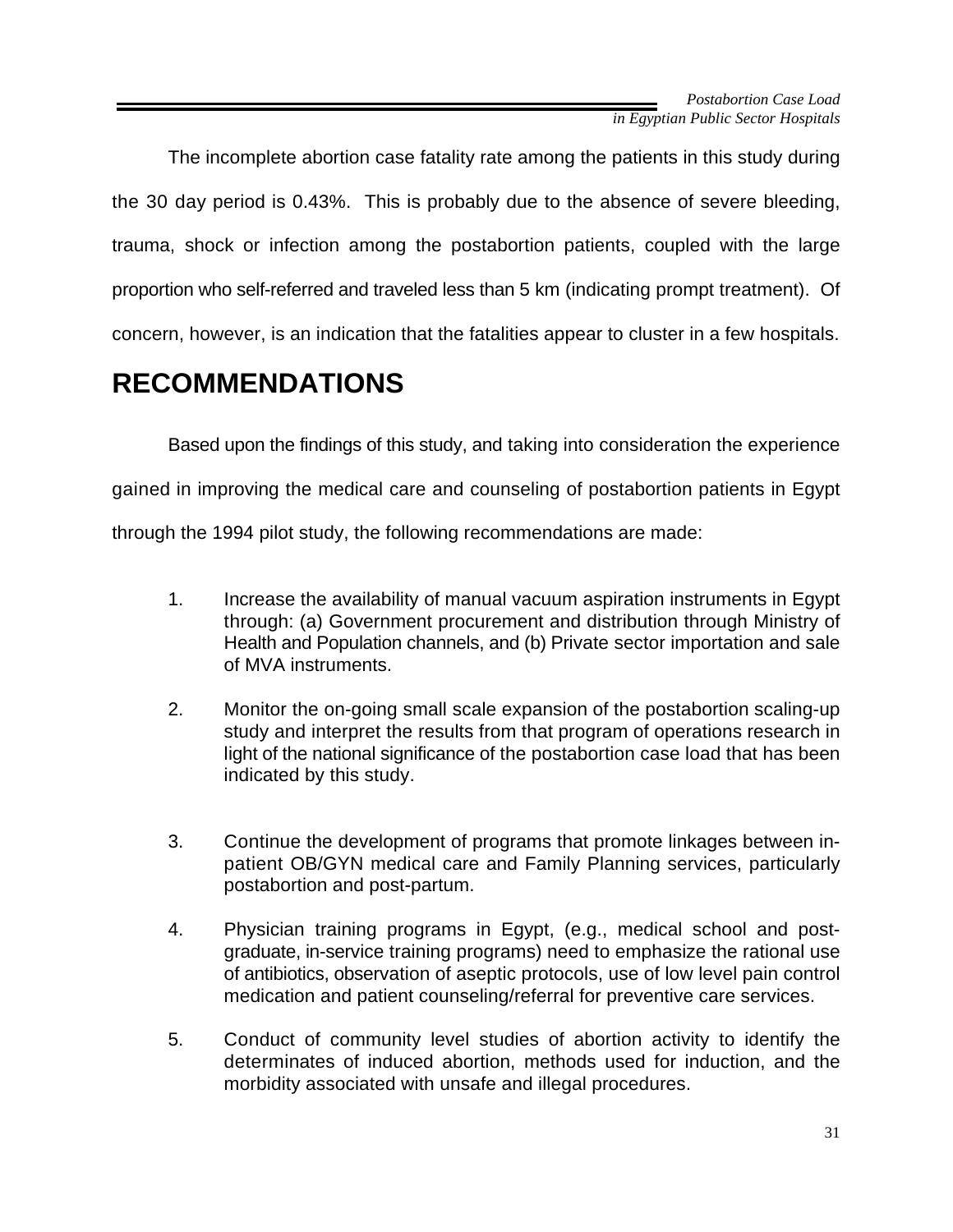The incomplete abortion case fatality rate among the patients in this study during the 30 day period is 0.43%. This is probably due to the absence of severe bleeding, trauma, shock or infection among the postabortion patients, coupled with the large proportion who self-referred and traveled less than 5 km (indicating prompt treatment). Of concern, however, is an indication that the fatalities appear to cluster in a few hospitals.

# **RECOMMENDATIONS**

Based upon the findings of this study, and taking into consideration the experience gained in improving the medical care and counseling of postabortion patients in Egypt through the 1994 pilot study, the following recommendations are made:

- 1. Increase the availability of manual vacuum aspiration instruments in Egypt through: (a) Government procurement and distribution through Ministry of Health and Population channels, and (b) Private sector importation and sale of MVA instruments.
- 2. Monitor the on-going small scale expansion of the postabortion scaling-up study and interpret the results from that program of operations research in light of the national significance of the postabortion case load that has been indicated by this study.
- 3. Continue the development of programs that promote linkages between inpatient OB/GYN medical care and Family Planning services, particularly postabortion and post-partum.
- 4. Physician training programs in Egypt, (e.g., medical school and postgraduate, in-service training programs) need to emphasize the rational use of antibiotics, observation of aseptic protocols, use of low level pain control medication and patient counseling/referral for preventive care services.
- 5. Conduct of community level studies of abortion activity to identify the determinates of induced abortion, methods used for induction, and the morbidity associated with unsafe and illegal procedures.